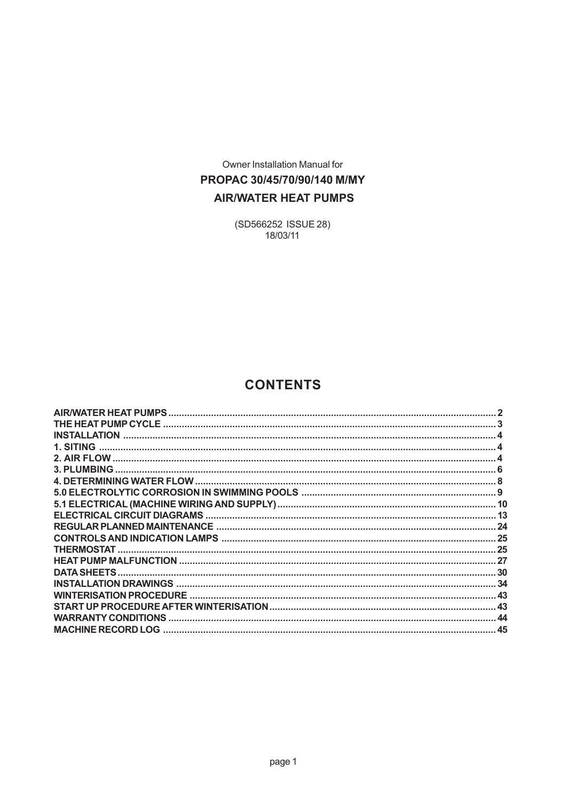Owner Installation Manual for PROPAC 30/45/70/90/140 M/MY **AIR/WATER HEAT PUMPS** 

> (SD566252 ISSUE 28) 18/03/11

# **CONTENTS**

| <b>AIR/WATER HEAT PUMPS</b> |                                     |
|-----------------------------|-------------------------------------|
|                             |                                     |
| <b>INSTALLATION</b>         |                                     |
| 1. SITING                   |                                     |
|                             |                                     |
| <b>3. PLUMBING</b>          |                                     |
|                             |                                     |
|                             |                                     |
|                             |                                     |
|                             |                                     |
|                             | - 24                                |
|                             |                                     |
| <b>THERMOSTAT.</b>          |                                     |
|                             |                                     |
|                             |                                     |
|                             | 34                                  |
|                             | $\Delta$ 3                          |
|                             |                                     |
| <b>WARRANTY CONDITIONS</b>  | $\boldsymbol{\varLambda\varLambda}$ |
| <b>MACHINE RECORD LOG</b>   | 45                                  |
|                             |                                     |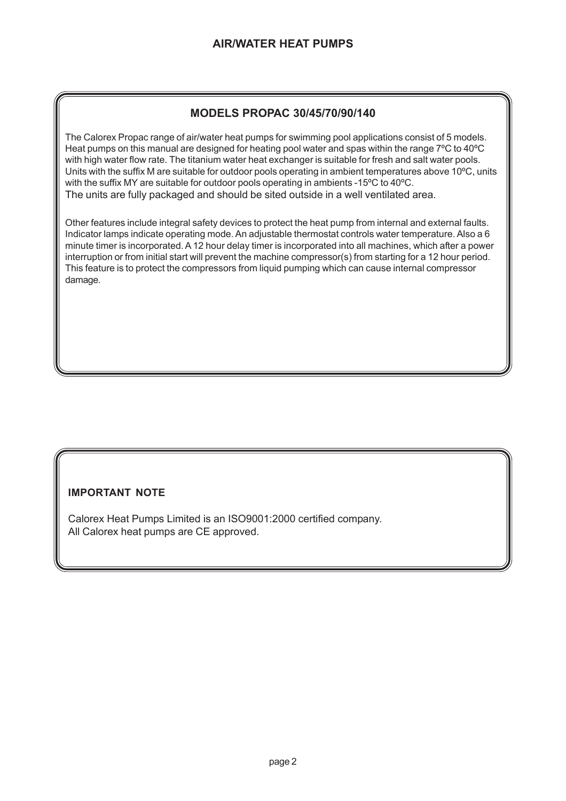# **MODELS PROPAC 30/45/70/90/140**

The Calorex Propac range of air/water heat pumps for swimming pool applications consist of 5 models. Heat pumps on this manual are designed for heating pool water and spas within the range 7ºC to 40ºC with high water flow rate. The titanium water heat exchanger is suitable for fresh and salt water pools. Units with the suffix M are suitable for outdoor pools operating in ambient temperatures above 10ºC, units with the suffix MY are suitable for outdoor pools operating in ambients -15ºC to 40ºC. The units are fully packaged and should be sited outside in a well ventilated area.

Other features include integral safety devices to protect the heat pump from internal and external faults. Indicator lamps indicate operating mode. An adjustable thermostat controls water temperature. Also a 6 minute timer is incorporated. A 12 hour delay timer is incorporated into all machines, which after a power interruption or from initial start will prevent the machine compressor(s) from starting for a 12 hour period. This feature is to protect the compressors from liquid pumping which can cause internal compressor damage.

## **IMPORTANT NOTE**

Calorex Heat Pumps Limited is an ISO9001:2000 certified company. All Calorex heat pumps are CE approved.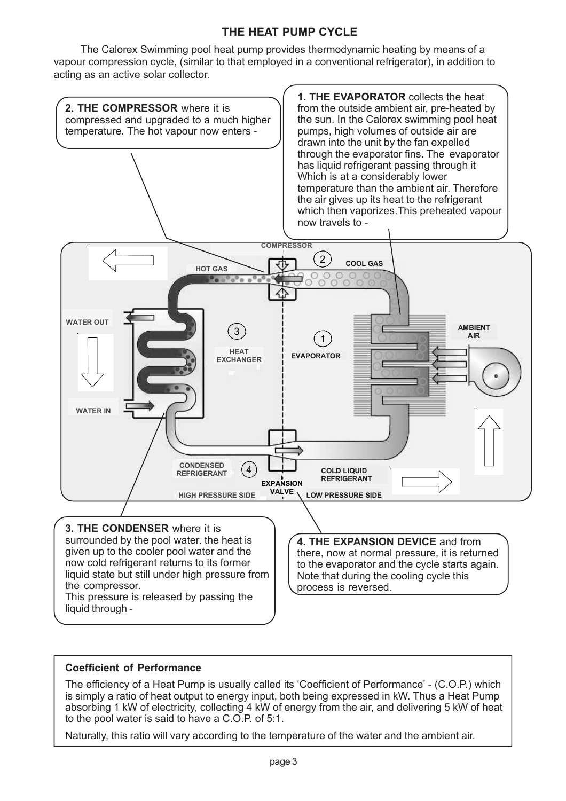# **THE HEAT PUMP CYCLE**

The Calorex Swimming pool heat pump provides thermodynamic heating by means of a vapour compression cycle, (similar to that employed in a conventional refrigerator), in addition to acting as an active solar collector.



## **Coefficient of Performance**

The efficiency of a Heat Pump is usually called its 'Coefficient of Performance' - (C.O.P.) which is simply a ratio of heat output to energy input, both being expressed in kW. Thus a Heat Pump absorbing 1 kW of electricity, collecting 4 kW of energy from the air, and delivering 5 kW of heat to the pool water is said to have a C.O.P. of 5:1.

Naturally, this ratio will vary according to the temperature of the water and the ambient air.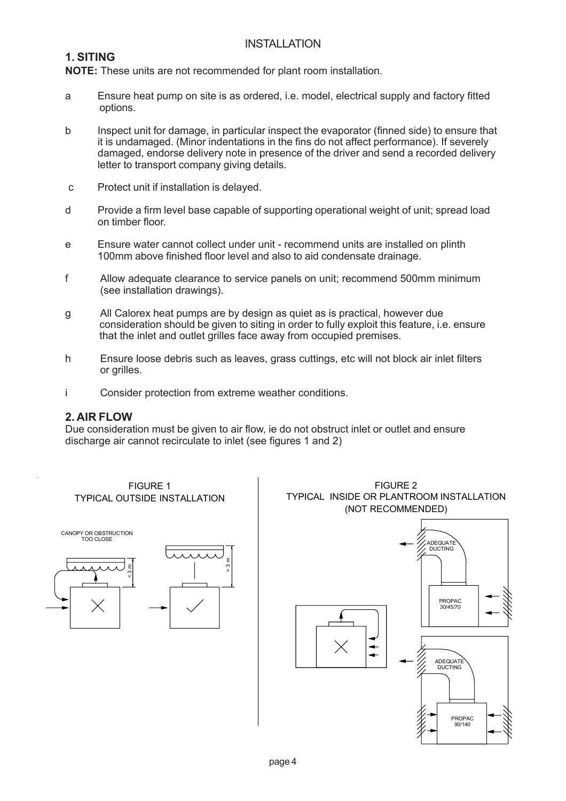# INSTALLATION

# **1. SITING**

**NOTE:** These units are not recommended for plant room installation.

- a Ensure heat pump on site is as ordered, i.e. model, electrical supply and factory fitted options.
- b Inspect unit for damage, in particular inspect the evaporator (finned side) to ensure that it is undamaged. (Minor indentations in the fins do not affect performance). If severely damaged, endorse delivery note in presence of the driver and send a recorded delivery letter to transport company giving details.
- c Protect unit if installation is delayed.
- d Provide a firm level base capable of supporting operational weight of unit; spread load on timber floor.
- e Ensure water cannot collect under unit recommend units are installed on plinth 100mm above finished floor level and also to aid condensate drainage.
- f Allow adequate clearance to service panels on unit; recommend 500mm minimum (see installation drawings).
- g All Calorex heat pumps are by design as quiet as is practical, however due consideration should be given to siting in order to fully exploit this feature, i.e. ensure that the inlet and outlet grilles face away from occupied premises.
- h Ensure loose debris such as leaves, grass cuttings, etc will not block air inlet filters or grilles.
- i Consider protection from extreme weather conditions.

#### **2. AIR FLOW**

Due consideration must be given to air flow, ie do not obstruct inlet or outlet and ensure discharge air cannot recirculate to inlet (see figures 1 and 2)

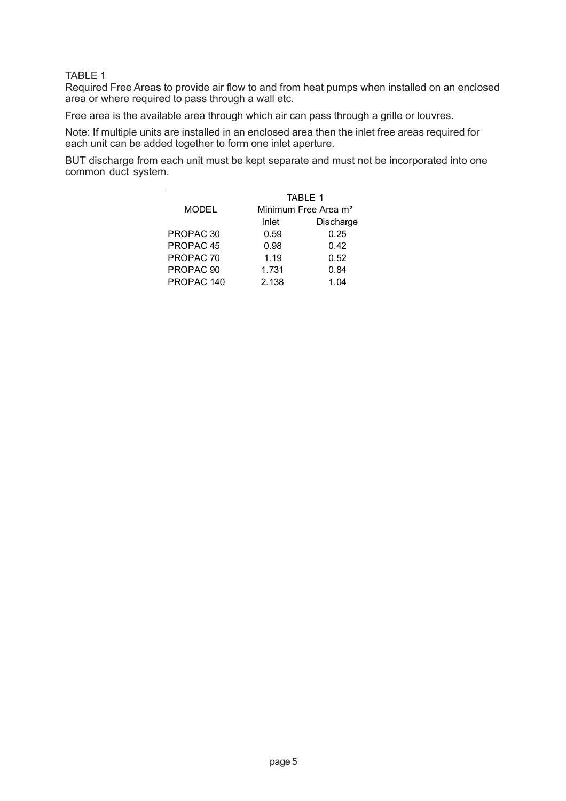#### TABLE 1

Required Free Areas to provide air flow to and from heat pumps when installed on an enclosed area or where required to pass through a wall etc.

Free area is the available area through which air can pass through a grille or louvres.

Note: If multiple units are installed in an enclosed area then the inlet free areas required for each unit can be added together to form one inlet aperture.

BUT discharge from each unit must be kept separate and must not be incorporated into one common duct system.

|                      | <b>TABLE 1</b>                   |           |  |
|----------------------|----------------------------------|-----------|--|
| <b>MODEL</b>         | Minimum Free Area m <sup>2</sup> |           |  |
|                      | <b>Inlet</b>                     | Discharge |  |
| PROPAC <sub>30</sub> | 0.59                             | 0.25      |  |
| PROPAC <sub>45</sub> | 0.98                             | 0.42      |  |
| PROPAC <sub>70</sub> | 1.19                             | 0.52      |  |
| PROPAC <sub>90</sub> | 1.731                            | 0.84      |  |
| PROPAC 140           | 2.138                            | 1.04      |  |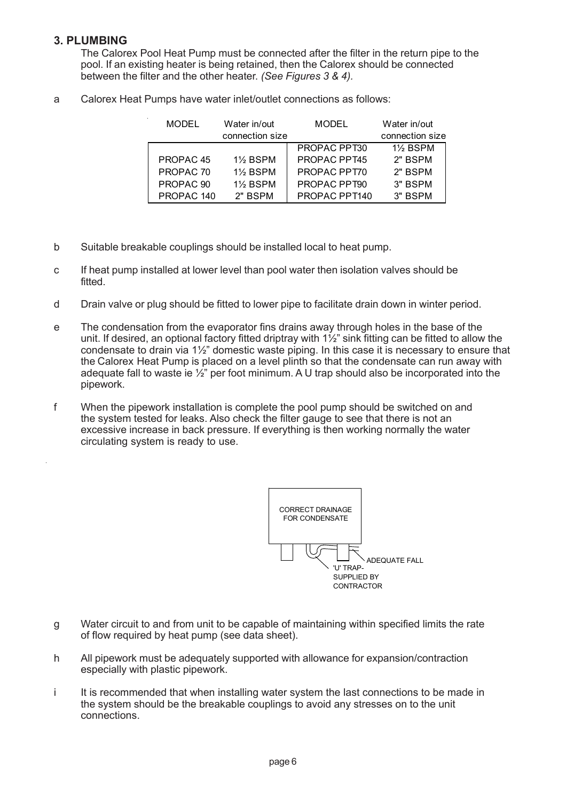# **3. PLUMBING**

The Calorex Pool Heat Pump must be connected after the filter in the return pipe to the pool. If an existing heater is being retained, then the Calorex should be connected between the filter and the other heater. *(See Figures 3 & 4).*

a Calorex Heat Pumps have water inlet/outlet connections as follows:

| <b>MODEL</b>         | Water in/out    | MODEL               | Water in/out    |
|----------------------|-----------------|---------------------|-----------------|
|                      | connection size |                     | connection size |
|                      |                 | PROPAC PPT30        | <b>1% BSPM</b>  |
| PROPAC <sub>45</sub> | <b>1% BSPM</b>  | <b>PROPAC PPT45</b> | 2" BSPM         |
| PROPAC <sub>70</sub> | <b>1% BSPM</b>  | PROPAC PPT70        | 2" BSPM         |
| PROPAC <sub>90</sub> | <b>1% BSPM</b>  | PROPAC PPT90        | 3" BSPM         |
| PROPAC 140           | 2" BSPM         | PROPAC PPT140       | 3" BSPM         |

- b Suitable breakable couplings should be installed local to heat pump.
- c If heat pump installed at lower level than pool water then isolation valves should be fitted.
- d Drain valve or plug should be fitted to lower pipe to facilitate drain down in winter period.
- e The condensation from the evaporator fins drains away through holes in the base of the unit. If desired, an optional factory fitted driptray with  $1\frac{1}{2}$ " sink fitting can be fitted to allow the condensate to drain via 1½" domestic waste piping. In this case it is necessary to ensure that the Calorex Heat Pump is placed on a level plinth so that the condensate can run away with adequate fall to waste ie  $\frac{1}{2}$ " per foot minimum. A U trap should also be incorporated into the pipework.
- f When the pipework installation is complete the pool pump should be switched on and the system tested for leaks. Also check the filter gauge to see that there is not an excessive increase in back pressure. If everything is then working normally the water circulating system is ready to use.



- g Water circuit to and from unit to be capable of maintaining within specified limits the rate of flow required by heat pump (see data sheet).
- h All pipework must be adequately supported with allowance for expansion/contraction especially with plastic pipework.
- i It is recommended that when installing water system the last connections to be made in the system should be the breakable couplings to avoid any stresses on to the unit connections.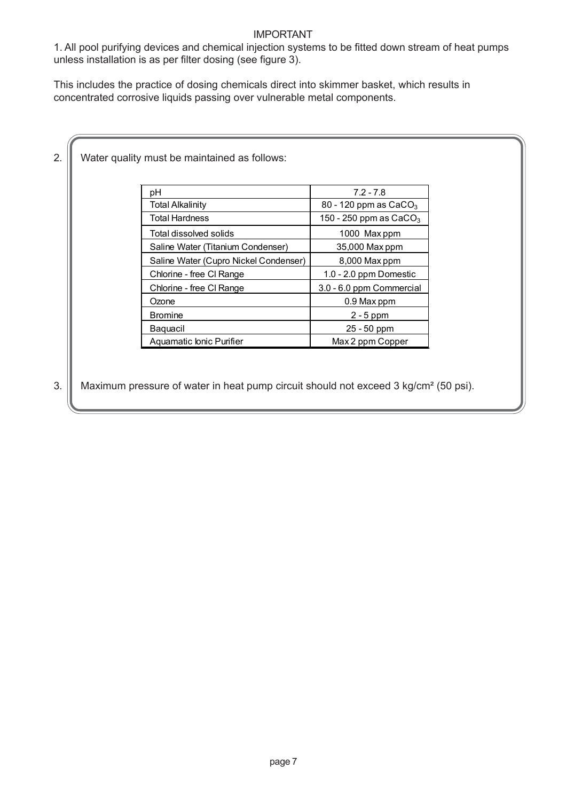### IMPORTANT

1. All pool purifying devices and chemical injection systems to be fitted down stream of heat pumps unless installation is as per filter dosing (see figure 3).

This includes the practice of dosing chemicals direct into skimmer basket, which results in concentrated corrosive liquids passing over vulnerable metal components.

| рH                                    | $7.2 - 7.8$                       |
|---------------------------------------|-----------------------------------|
| Total Alkalinity                      | 80 - 120 ppm as CaCO <sub>3</sub> |
| Total Hardness                        | 150 - 250 ppm as $CaCO3$          |
| Total dissolved solids                | 1000 Max ppm                      |
| Saline Water (Titanium Condenser)     | 35,000 Max ppm                    |
| Saline Water (Cupro Nickel Condenser) | 8,000 Max ppm                     |
| Chlorine - free CI Range              | 1.0 - 2.0 ppm Domestic            |
| Chlorine - free CI Range              | 3.0 - 6.0 ppm Commercial          |
| Ozone                                 | 0.9 Max ppm                       |
| <b>Bromine</b>                        | $2 - 5$ ppm                       |
| Baguacil                              | 25 - 50 ppm                       |
| Aquamatic Ionic Purifier              | Max 2 ppm Copper                  |

3. Maximum pressure of water in heat pump circuit should not exceed 3 kg/cm<sup>2</sup> (50 psi).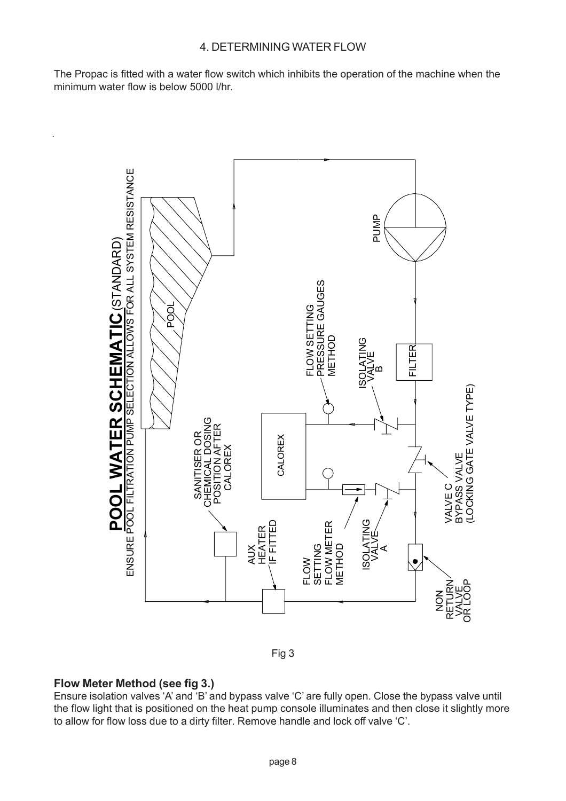The Propac is fitted with a water flow switch which inhibits the operation of the machine when the minimum water flow is below 5000 l/hr.





## **Flow Meter Method (see fig 3.)**

Ensure isolation valves 'A' and 'B' and bypass valve 'C' are fully open. Close the bypass valve until the flow light that is positioned on the heat pump console illuminates and then close it slightly more to allow for flow loss due to a dirty filter. Remove handle and lock off valve 'C'.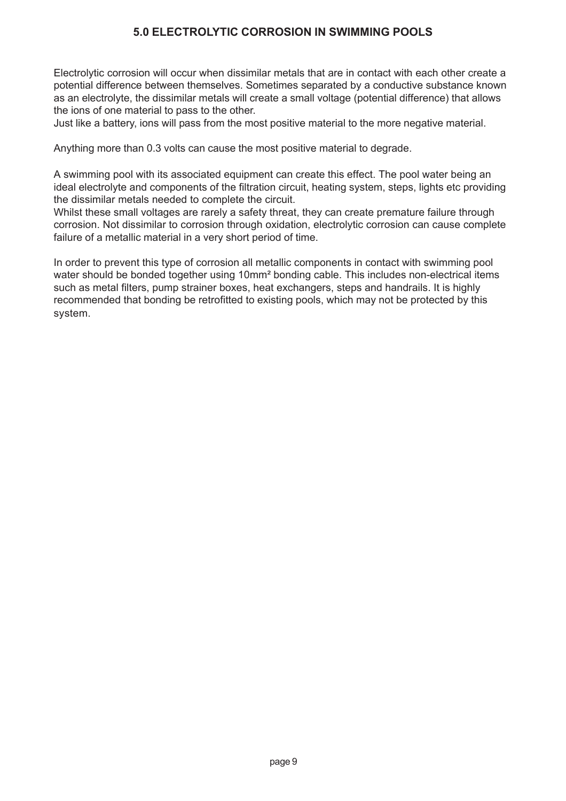# **5.0 ELECTROLYTIC CORROSION IN SWIMMING POOLS**

Electrolytic corrosion will occur when dissimilar metals that are in contact with each other create a potential difference between themselves. Sometimes separated by a conductive substance known as an electrolyte, the dissimilar metals will create a small voltage (potential difference) that allows the ions of one material to pass to the other.

Just like a battery, ions will pass from the most positive material to the more negative material.

Anything more than 0.3 volts can cause the most positive material to degrade.

A swimming pool with its associated equipment can create this effect. The pool water being an ideal electrolyte and components of the filtration circuit, heating system, steps, lights etc providing the dissimilar metals needed to complete the circuit.

Whilst these small voltages are rarely a safety threat, they can create premature failure through corrosion. Not dissimilar to corrosion through oxidation, electrolytic corrosion can cause complete failure of a metallic material in a very short period of time.

In order to prevent this type of corrosion all metallic components in contact with swimming pool water should be bonded together using 10mm<sup>2</sup> bonding cable. This includes non-electrical items such as metal filters, pump strainer boxes, heat exchangers, steps and handrails. It is highly recommended that bonding be retrofitted to existing pools, which may not be protected by this system.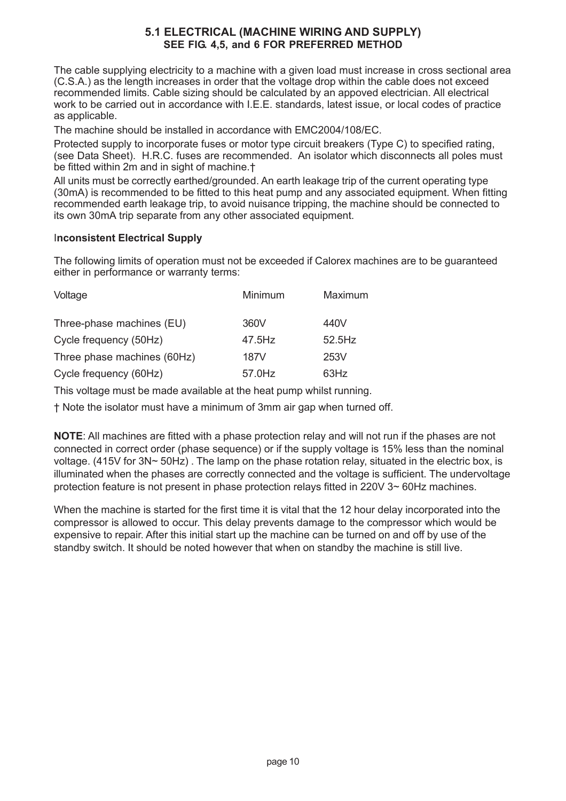### **5.1 ELECTRICAL (MACHINE WIRING AND SUPPLY) SEE FIG. 4,5, and 6 FOR PREFERRED METHOD**

The cable supplying electricity to a machine with a given load must increase in cross sectional area (C.S.A.) as the length increases in order that the voltage drop within the cable does not exceed recommended limits. Cable sizing should be calculated by an appoved electrician. All electrical work to be carried out in accordance with I.E.E. standards, latest issue, or local codes of practice as applicable.

The machine should be installed in accordance with EMC2004/108/EC.

Protected supply to incorporate fuses or motor type circuit breakers (Type C) to specified rating, (see Data Sheet). H.R.C. fuses are recommended. An isolator which disconnects all poles must be fitted within 2m and in sight of machine.†

All units must be correctly earthed/grounded. An earth leakage trip of the current operating type (30mA) is recommended to be fitted to this heat pump and any associated equipment. When fitting recommended earth leakage trip, to avoid nuisance tripping, the machine should be connected to its own 30mA trip separate from any other associated equipment.

#### I**nconsistent Electrical Supply**

The following limits of operation must not be exceeded if Calorex machines are to be guaranteed either in performance or warranty terms:

| Voltage                     | Minimum | Maximum |
|-----------------------------|---------|---------|
| Three-phase machines (EU)   | 360V    | 440V    |
| Cycle frequency (50Hz)      | 47.5Hz  | 52.5Hz  |
| Three phase machines (60Hz) | 187V    | 253V    |
| Cycle frequency (60Hz)      | 57.0Hz  | 63Hz    |

This voltage must be made available at the heat pump whilst running.

† Note the isolator must have a minimum of 3mm air gap when turned off.

**NOTE**: All machines are fitted with a phase protection relay and will not run if the phases are not connected in correct order (phase sequence) or if the supply voltage is 15% less than the nominal voltage. (415V for 3N~ 50Hz) . The lamp on the phase rotation relay, situated in the electric box, is illuminated when the phases are correctly connected and the voltage is sufficient. The undervoltage protection feature is not present in phase protection relays fitted in 220V 3~ 60Hz machines.

When the machine is started for the first time it is vital that the 12 hour delay incorporated into the compressor is allowed to occur. This delay prevents damage to the compressor which would be expensive to repair. After this initial start up the machine can be turned on and off by use of the standby switch. It should be noted however that when on standby the machine is still live.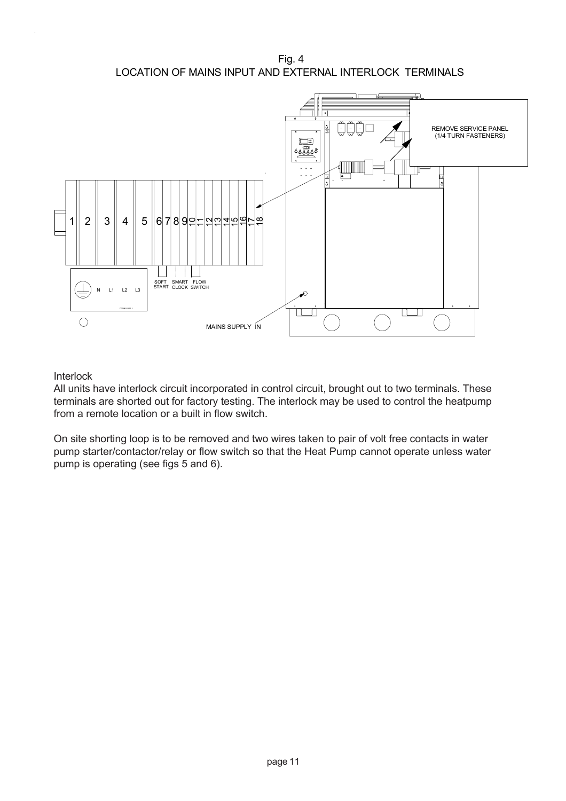Fig. 4 LOCATION OF MAINS INPUT AND EXTERNAL INTERLOCK TERMINALS



### Interlock

All units have interlock circuit incorporated in control circuit, brought out to two terminals. These terminals are shorted out for factory testing. The interlock may be used to control the heatpump from a remote location or a built in flow switch.

On site shorting loop is to be removed and two wires taken to pair of volt free contacts in water pump starter/contactor/relay or flow switch so that the Heat Pump cannot operate unless water pump is operating (see figs 5 and 6).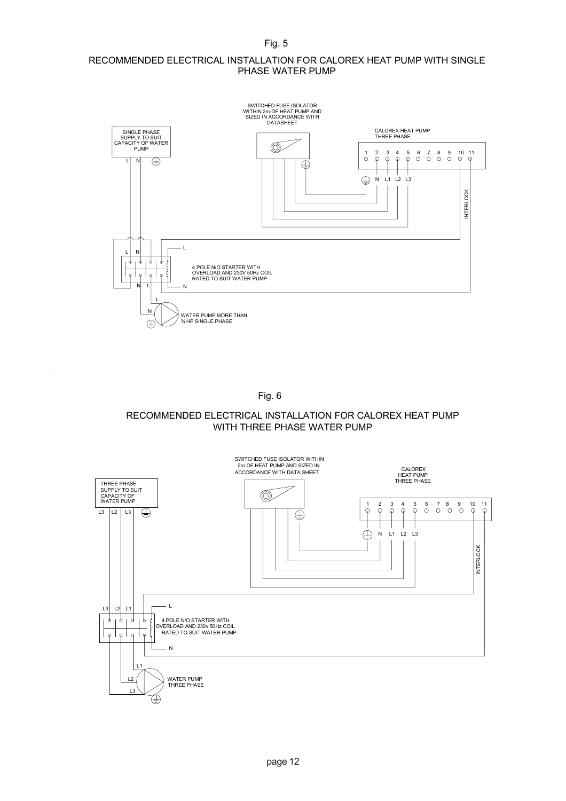Fig. 5

#### RECOMMENDED ELECTRICAL INSTALLATION FOR CALOREX HEAT PUMP WITH SINGLE PHASE WATER PUMP



Fig. 6

#### RECOMMENDED ELECTRICAL INSTALLATION FOR CALOREX HEAT PUMP WITH THREE PHASE WATER PUMP

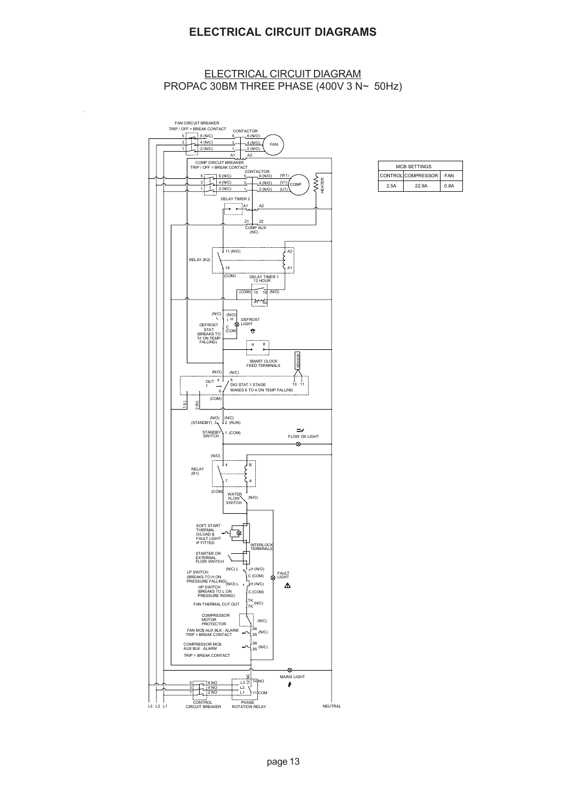## **ELECTRICAL CIRCUIT DIAGRAMS**

#### ELECTRICAL CIRCUIT DIAGRAM PROPAC 30BM THREE PHASE (400V 3 N~ 50Hz)

 $\ddot{\phantom{a}}$ 



| <b>MCB SETTINGS</b>      |       |      |  |  |
|--------------------------|-------|------|--|--|
| CONTROLCOMPRESSOR<br>FAN |       |      |  |  |
| 2.5A                     | 22.9A | 0.8A |  |  |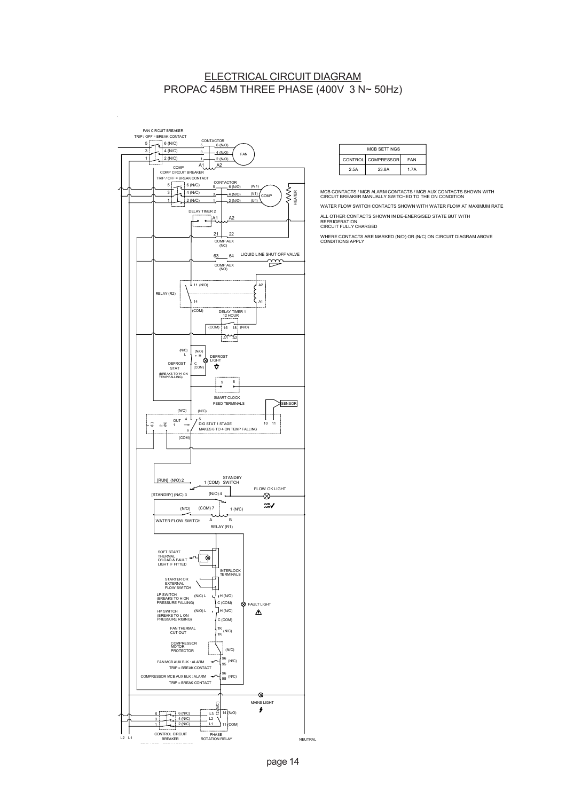#### ELECTRICAL CIRCUIT DIAGRAM PROPAC 45BM THREE PHASE (400V 3 N~ 50Hz)



| <b>MCB SETTINGS</b> |                    |            |  |
|---------------------|--------------------|------------|--|
|                     | CONTROL COMPRESSOR | <b>FAN</b> |  |
| 2.5A                | 23.8A              | 1 7 A      |  |

MCB CONTACTS / MCB ALARM CONTACTS / MCB AUX CONTACTS SHOWN WITH CIRCUIT BREAKER MANUALLY SWITCHED TO THE ON CONDITION

WATER FLOW SWITCH CONTACTS SHOWN WITH WATER FLOW AT MAXIMUM RATE

ALL OTHER CONTACTS SHOWN IN DE-ENERGISED STATE BUT WITH<br>REFRIGERATION<br>CIRCUIT FULLY CHARGED

WHERE CONTACTS ARE MARKED (N/O) OR (N/C) ON CIRCUIT DIAGRAM ABOVE CONDITIONS APPLY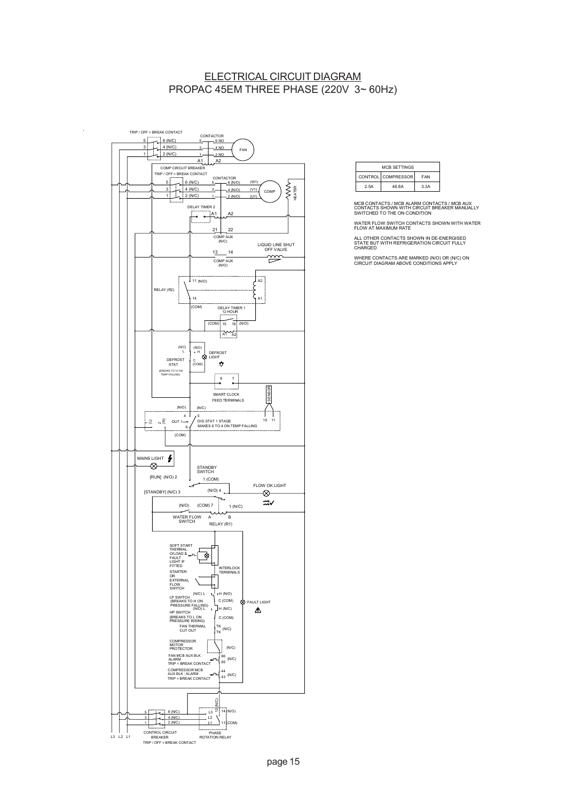#### ELECTRICAL CIRCUIT DIAGRAM PROPAC 45EM THREE PHASE (220V 3~ 60Hz)



 $\overline{a}$ 

| <b>MCB SETTINGS</b> |                    |      |
|---------------------|--------------------|------|
|                     | CONTROL COMPRESSOR | FAN  |
| 2.5A                | 46.8A              | 3.3A |

MCB CONTACTS / MCB ALARM CONTACTS / MCB AUX CONTACTS SHOWN WITH CIRCUIT BREAKER MANUALLY SWITCHED TO THE ON CONDITION

WATER FLOW SWITCH CONTACTS SHOWN WITH WATER FLOW AT MAXIMUM RATE

ALL OTHER CONTACTS SHOWN IN DE-ENERGISED STATE BUT WITH REFRIGERATION CIRCUIT FULLY CHARGED

WHERE CONTACTS ARE MARKED (N/O) OR (N/C) ON CIRCUIT DIAGRAM ABOVE CONDITIONS APPLY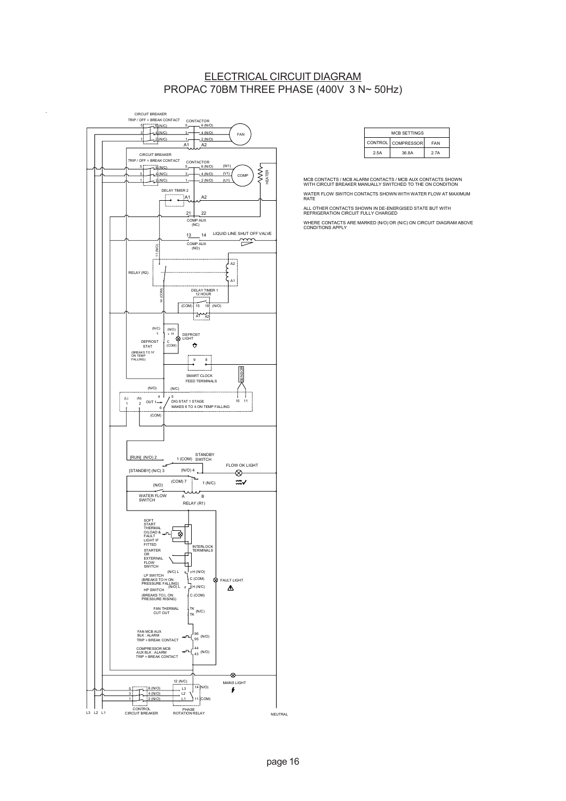### ELECTRICAL CIRCUIT DIAGRAM PROPAC 70BM THREE PHASE (400V 3 N~ 50Hz)



| <b>MCB SETTINGS</b>                  |       |      |  |
|--------------------------------------|-------|------|--|
| CONTROL   COMPRESSOR  <br><b>FAN</b> |       |      |  |
| 2.5A                                 | 36.8A | 2.7A |  |

MCB CONTACTS / MCB ALARM CONTACTS / MCB AUX CONTACTS SHOWN WITH CIRCUIT BREAKER MANUALLY SWITCHED TO THE ON CONDITION WATER FLOW SWITCH CONTACTS SHOWN WITH WATER FLOW AT MAXIMUM RATE

ALL OTHER CONTACTS SHOWN IN DE-ENERGISED STATE BUT WITH REFRIGERATION CIRCUIT FULLY CHARGED WHERE CONTACTS ARE MARKED (N/O) OR (N/C) ON CIRCUIT DIAGRAM ABOVE CONDITIONS APPLY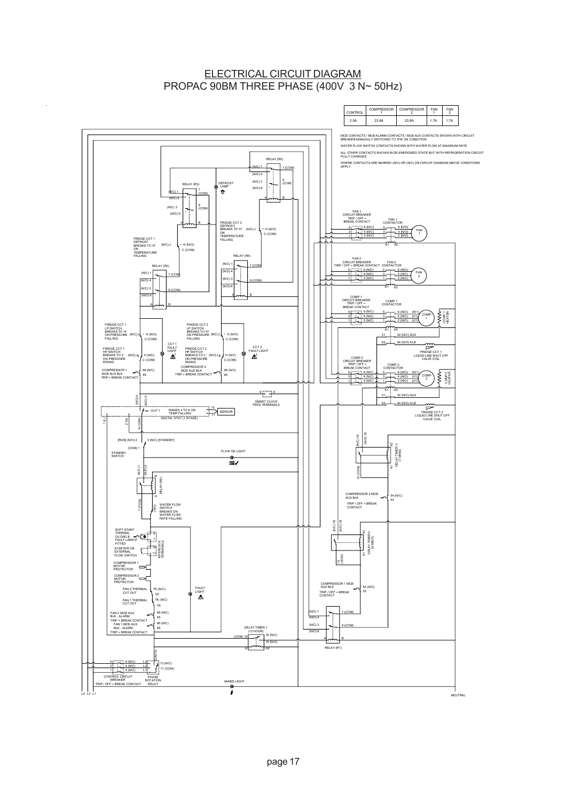#### ELECTRICAL CIRCUIT DIAGRAM PROPAC 90BM THREE PHASE (400V 3 N~ 50Hz)

 $\ddot{\phantom{a}}$ 

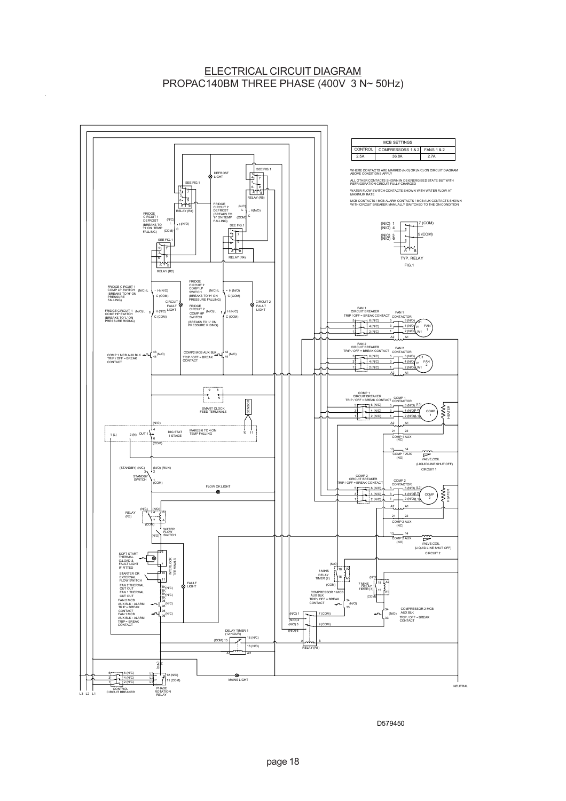## ELECTRICAL CIRCUIT DIAGRAM PROPAC140BM THREE PHASE (400V 3 N~ 50Hz)

 $\bar{\mathcal{A}}$ 



D579450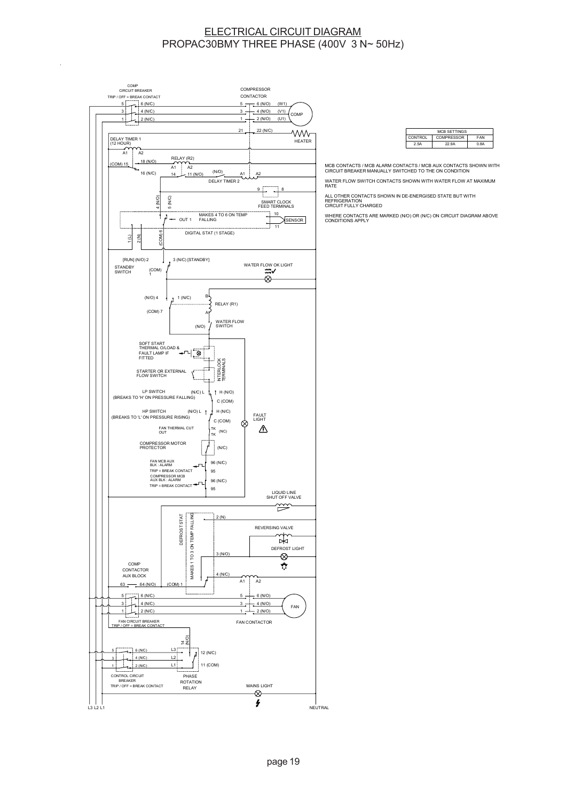#### ELECTRICAL CIRCUIT DIAGRAM PROPAC30BMY THREE PHASE (400V 3 N~ 50Hz)



| <b>MCB SETTINGS</b>                   |       |      |  |
|---------------------------------------|-------|------|--|
| COMPRESSOR  <br><b>FAN</b><br>CONTROL |       |      |  |
| 25A                                   | 22 QA | በ ቋል |  |

MCB CONTACTS / MCB ALARM CONTACTS / MCB AUX CONTACTS SHOWN WITH CIRCUIT BREAKER MANUALLY SWITCHED TO THE ON CONDITION

WATER FLOW SWITCH CONTACTS SHOWN WITH WATER FLOW AT MAXIMUM RATE

ALL OTHER CONTACTS SHOWN IN DE-ENERGISED STATE BUT WITH<br>REFRIGERATION<br>CIRCUIT FULLY CHARGED

WHERE CONTACTS ARE MARKED (N/O) OR (N/C) ON CIRCUIT DIAGRAM ABOVE CONDITIONS APPLY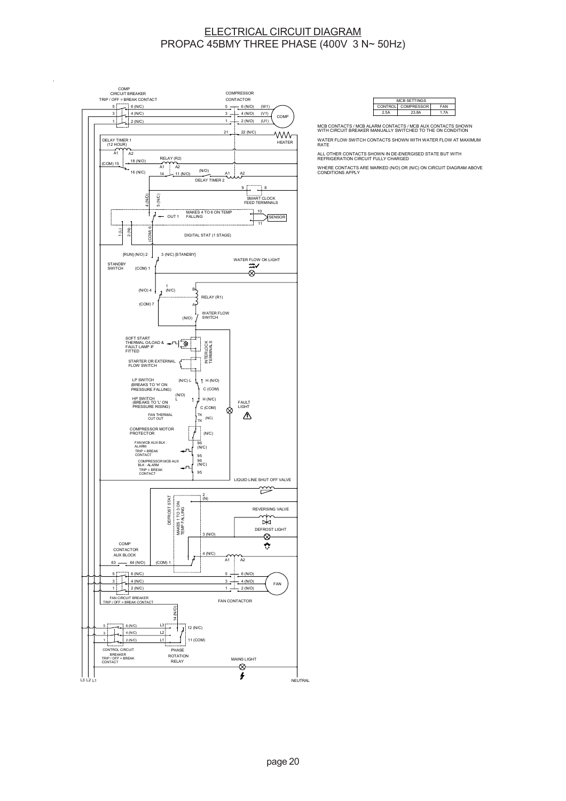#### ELECTRICAL CIRCUIT DIAGRAM PROPAC 45BMY THREE PHASE (400V 3 N~ 50Hz)



| <b>MCB SETTINGS</b>              |       |     |  |
|----------------------------------|-------|-----|--|
| CONTROL COMPRESSOR<br><b>FAN</b> |       |     |  |
| 2.5A                             | 23 8A | 17A |  |
|                                  |       |     |  |

MCB CONTACTS / MCB ALARM CONTACTS / MCB AUX CONTACTS SHOWN WITH CIRCUIT BREAKER MANUALLY SWITCHED TO THE ON CONDITION

WATER FLOW SWITCH CONTACTS SHOWN WITH WATER FLOW AT MAXIMUM RATE

ALL OTHER CONTACTS SHOWN IN DE-ENERGISED STATE BUT WITH REFRIGERATION CIRCUIT FULLY CHARGED

WHERE CONTACTS ARE MARKED (N/O) OR (N/C) ON CIRCUIT DIAGRAM ABOVE CONDITIONS APPLY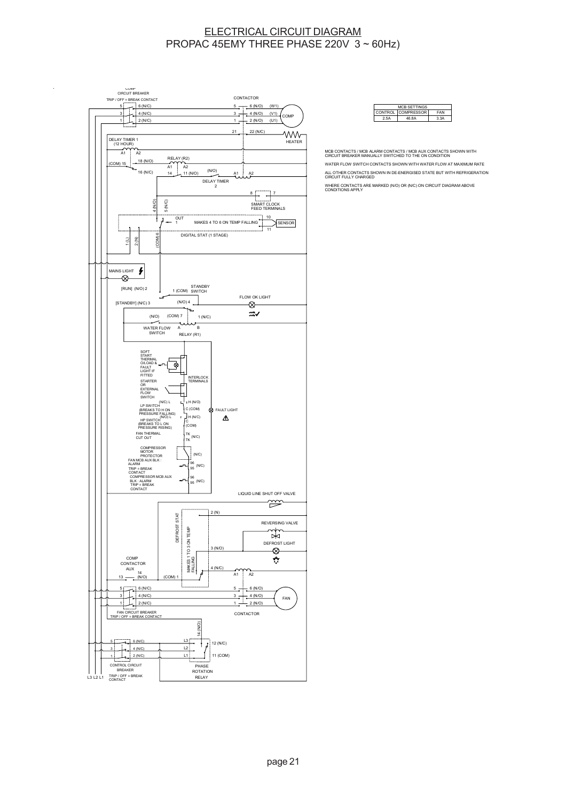#### ELECTRICAL CIRCUIT DIAGRAM PROPAC 45EMY THREE PHASE 220V 3 ~ 60Hz)





MCB CONTACTS / MCB ALARM CONTACTS / MCB AUX CONTACTS SHOWN WITH CIRCUIT BREAKER MANUALLY SWITCHED TO THE ON CONDITION WATER FLOW SWITCH CONTACTS SHOWN WITH WATER FLOW AT MAXIMUM RATE ALL OTHER CONTACTS SHOWN IN DE-ENERGISED STATE BUT WITH REFRIGERATION CIRCUIT FULLY CHARGED WHERE CONTACTS ARE MARKED (N/O) OR (N/C) ON CIRCUIT DIAGRAM ABOVE CONDITIONS APPLY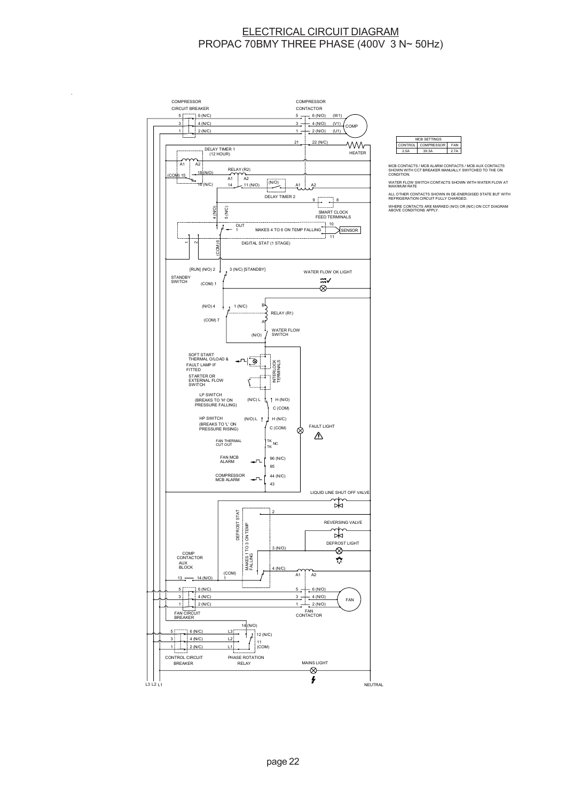#### ELECTRICAL CIRCUIT DIAGRAM PROPAC 70BMY THREE PHASE (400V 3 N~ 50Hz)



J.



MCB CONTACTS / MCB ALARM CONTACTS / MCB AUX CONTACTS<br>SHOWN WITH CCT BREAKER MANUALLY SWITCHED TO THE ON<br>CONDITION.

WATER FLOW SWITCH CONTACTS SHOWN WITH WATER FLOW AT MAXIMUM RATE

ALL OTHER CONTACTS SHOWN IN DE-ENERGISED STATE BUT WITH REFRIGERATION CIRCUIT FULLY CHARGED. WHERE CONTACTS ARE MARKED (N/O) OR (N/C) ON CCT DIAGRAM ABOVE CONDITIONS APPLY.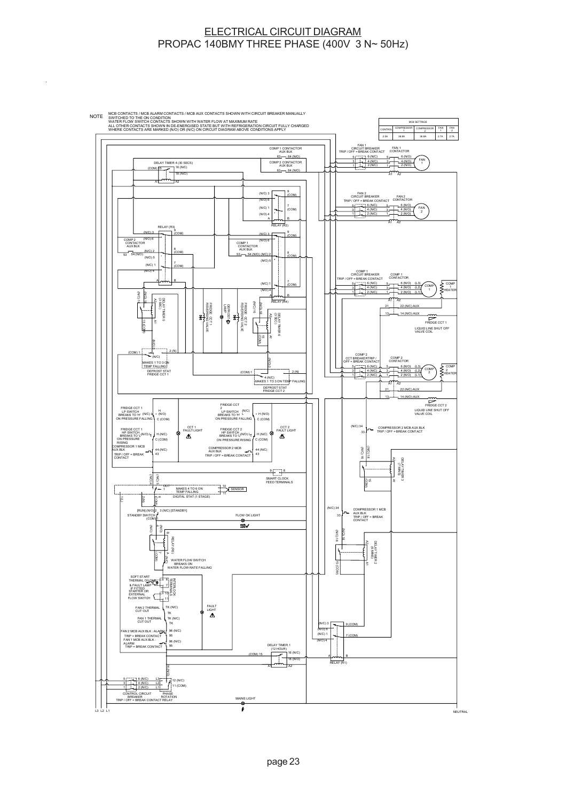### ELECTRICAL CIRCUIT DIAGRAM PROPAC 140BMY THREE PHASE (400V 3 N~ 50Hz)

 $\overline{a}$ 

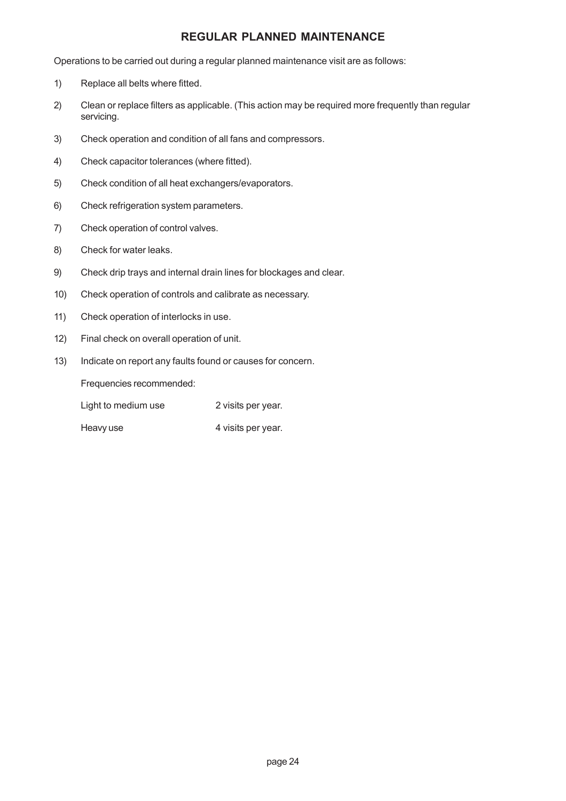## **REGULAR PLANNED MAINTENANCE**

Operations to be carried out during a regular planned maintenance visit are as follows:

- 1) Replace all belts where fitted.
- 2) Clean or replace filters as applicable. (This action may be required more frequently than regular servicing.
- 3) Check operation and condition of all fans and compressors.
- 4) Check capacitor tolerances (where fitted).
- 5) Check condition of all heat exchangers/evaporators.
- 6) Check refrigeration system parameters.
- 7) Check operation of control valves.
- 8) Check for water leaks.
- 9) Check drip trays and internal drain lines for blockages and clear.
- 10) Check operation of controls and calibrate as necessary.
- 11) Check operation of interlocks in use.
- 12) Final check on overall operation of unit.
- 13) Indicate on report any faults found or causes for concern.

Frequencies recommended:

Light to medium use 2 visits per year.

Heavy use 4 visits per year.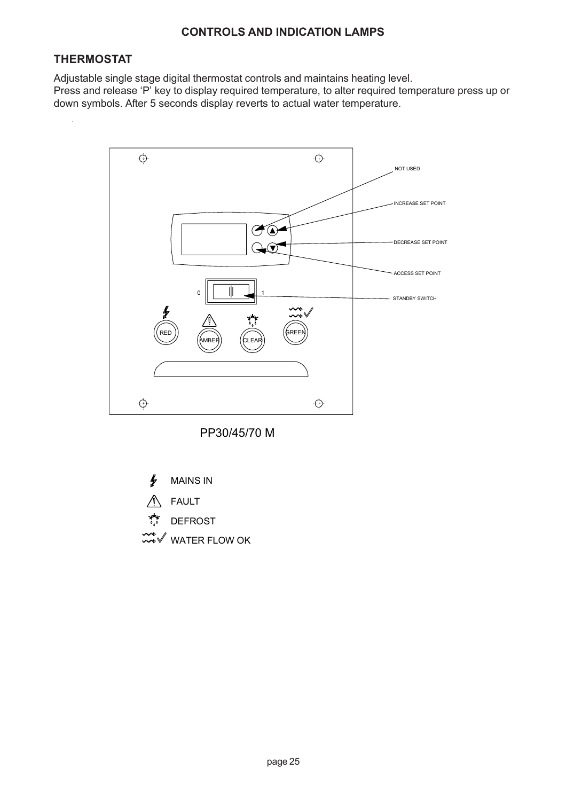# **CONTROLS AND INDICATION LAMPS**

# **THERMOSTAT**

Adjustable single stage digital thermostat controls and maintains heating level. Press and release 'P' key to display required temperature, to alter required temperature press up or down symbols. After 5 seconds display reverts to actual water temperature.



PP30/45/70 M

∱ MAINS IN FAULT DEFROST  $\mathscr V$  WATER FLOW OK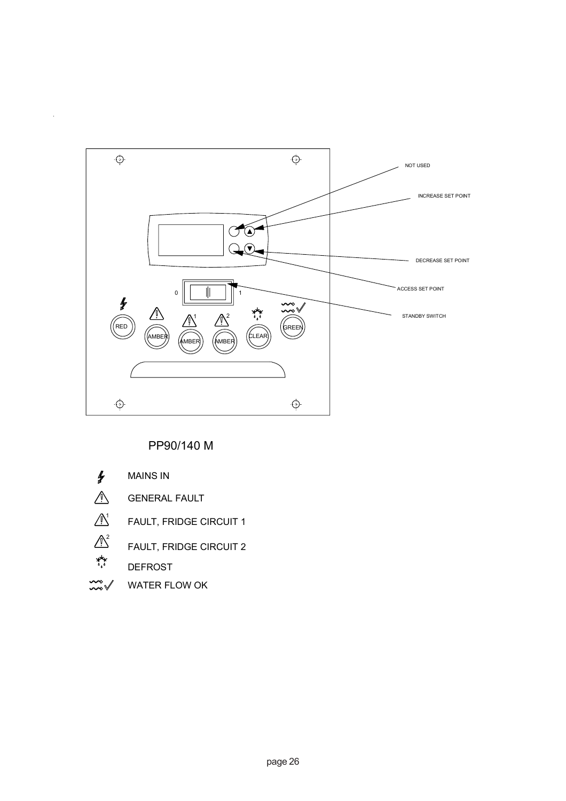

# PP90/140 M

- $\mathbf{r}$ MAINS IN
- $\triangle$ GENERAL FAULT
- $\bigwedge^1$ FAULT, FRIDGE CIRCUIT 1
- $\begin{picture}(180,10) \put(0,0){\line(1,0){15}} \put(15,0){\line(1,0){15}} \put(15,0){\line(1,0){15}} \put(15,0){\line(1,0){15}} \put(15,0){\line(1,0){15}} \put(15,0){\line(1,0){15}} \put(15,0){\line(1,0){15}} \put(15,0){\line(1,0){15}} \put(15,0){\line(1,0){15}} \put(15,0){\line(1,0){15}} \put(15,0){\line(1,0){15}} \put(15,0){\line($ FAULT, FRIDGE CIRCUIT 2
	- DEFROST
- $\frac{1}{2}$ WATER FLOW OK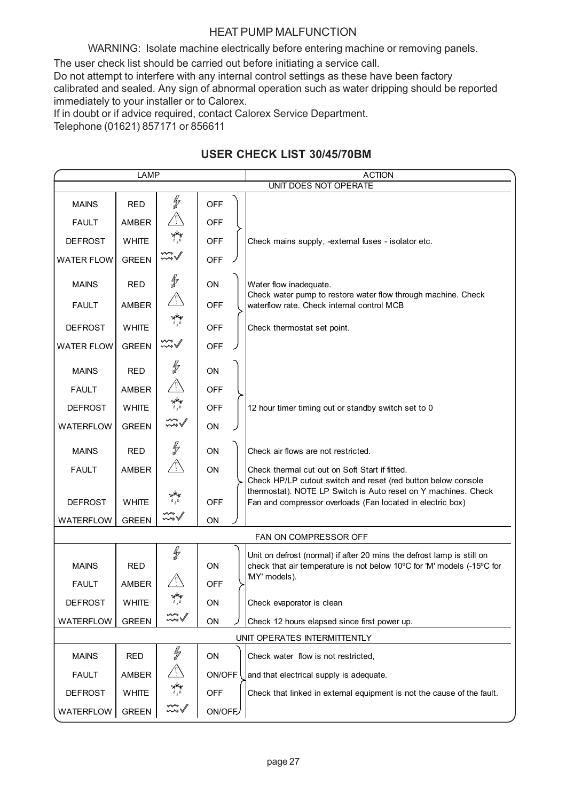# HEAT PUMP MALFUNCTION

WARNING: Isolate machine electrically before entering machine or removing panels.

The user check list should be carried out before initiating a service call.

Do not attempt to interfere with any internal control settings as these have been factory calibrated and sealed. Any sign of abnormal operation such as water dripping should be reported immediately to your installer or to Calorex.

If in doubt or if advice required, contact Calorex Service Department.

Telephone (01621) 857171 or 856611

# **USER CHECK LIST 30/45/70BM**

| LAMP                         |              |                                   |            | <b>ACTION</b>                                                                                                                |  |
|------------------------------|--------------|-----------------------------------|------------|------------------------------------------------------------------------------------------------------------------------------|--|
| UNIT DOES NOT OPERATE        |              |                                   |            |                                                                                                                              |  |
| <b>MAINS</b>                 | <b>RED</b>   | f                                 | <b>OFF</b> |                                                                                                                              |  |
| <b>FAULT</b>                 | AMBER        |                                   | <b>OFF</b> |                                                                                                                              |  |
| <b>DEFROST</b>               | <b>WHITE</b> | $\underset{\delta_{\rho}}{\star}$ | <b>OFF</b> | Check mains supply, -external fuses - isolator etc.                                                                          |  |
| <b>WATER FLOW</b>            | <b>GREEN</b> | $\mathbb{Z}\sqrt[3]{}$            | <b>OFF</b> |                                                                                                                              |  |
| <b>MAINS</b>                 | <b>RED</b>   | ∯                                 | ON         | Water flow inadequate.                                                                                                       |  |
| <b>FAULT</b>                 | <b>AMBER</b> | $\sqrt{V}$                        | <b>OFF</b> | Check water pump to restore water flow through machine. Check<br>waterflow rate. Check internal control MCB                  |  |
| <b>DEFROST</b>               | <b>WHITE</b> | مبعد<br>مو                        | <b>OFF</b> | Check thermostat set point.                                                                                                  |  |
| <b>WATER FLOW</b>            | <b>GREEN</b> | <del>₩</del>                      | <b>OFF</b> |                                                                                                                              |  |
| <b>MAINS</b>                 | <b>RED</b>   | f                                 | ON         |                                                                                                                              |  |
| <b>FAULT</b>                 | AMBER        |                                   | <b>OFF</b> |                                                                                                                              |  |
| <b>DEFROST</b>               | <b>WHITE</b> | <b>A</b>                          | <b>OFF</b> | 12 hour timer timing out or standby switch set to 0                                                                          |  |
| <b>WATERFLOW</b>             | <b>GREEN</b> |                                   | ON         |                                                                                                                              |  |
| <b>MAINS</b>                 | <b>RED</b>   | ł                                 | ON         | Check air flows are not restricted.                                                                                          |  |
| <b>FAULT</b>                 | <b>AMBER</b> |                                   | ON         | Check thermal cut out on Soft Start if fitted.<br>Check HP/LP cutout switch and reset (red button below console              |  |
| <b>DEFROST</b>               | <b>WHITE</b> |                                   | <b>OFF</b> | thermostat). NOTE LP Switch is Auto reset on Y machines. Check<br>Fan and compressor overloads (Fan located in electric box) |  |
| <b>WATERFLOW</b>             | <b>GREEN</b> | لاهمنه                            | ON         |                                                                                                                              |  |
|                              |              |                                   |            | FAN ON COMPRESSOR OFF                                                                                                        |  |
|                              |              | f                                 |            | Unit on defrost (normal) if after 20 mins the defrost lamp is still on                                                       |  |
| <b>MAINS</b>                 | <b>RED</b>   |                                   | ON         | check that air temperature is not below 10°C for 'M' models (-15°C for<br>'MY' models).                                      |  |
| <b>FAULT</b>                 | AMBER        |                                   | <b>OFF</b> |                                                                                                                              |  |
| <b>DEFROST</b>               | <b>WHITE</b> |                                   | ON         | Check evaporator is clean                                                                                                    |  |
| <b>WATERFLOW</b>             | <b>GREEN</b> | ∽∾                                | ON         | Check 12 hours elapsed since first power up.                                                                                 |  |
| UNIT OPERATES INTERMITTENTLY |              |                                   |            |                                                                                                                              |  |
| <b>MAINS</b>                 | <b>RED</b>   | ∯                                 | ON         | Check water flow is not restricted,                                                                                          |  |
| <b>FAULT</b>                 | AMBER        |                                   | ON/OFF     | and that electrical supply is adequate.                                                                                      |  |
| <b>DEFROST</b>               | <b>WHITE</b> | پېلېد<br>مو                       | <b>OFF</b> | Check that linked in external equipment is not the cause of the fault.                                                       |  |
| WATERFLOW                    | <b>GREEN</b> |                                   | ON/OFF     |                                                                                                                              |  |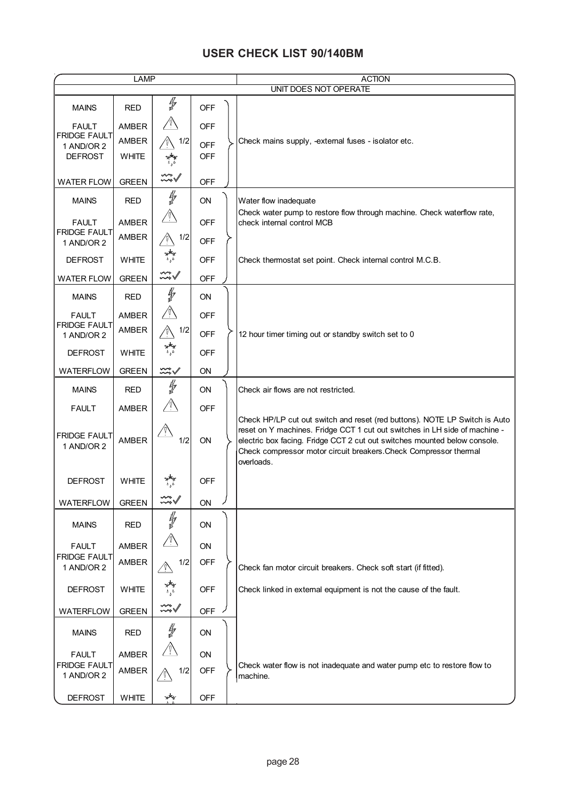# **USER CHECK LIST 90/140BM**

| <b>LAMP</b>                         |              |                                                           |            |   | <b>ACTION</b>                                                                                                                                                                                                                                                                                                            |  |  |  |
|-------------------------------------|--------------|-----------------------------------------------------------|------------|---|--------------------------------------------------------------------------------------------------------------------------------------------------------------------------------------------------------------------------------------------------------------------------------------------------------------------------|--|--|--|
|                                     |              |                                                           |            |   | UNIT DOES NOT OPERATE                                                                                                                                                                                                                                                                                                    |  |  |  |
| <b>MAINS</b>                        | <b>RED</b>   | ∯                                                         | <b>OFF</b> |   |                                                                                                                                                                                                                                                                                                                          |  |  |  |
| <b>FAULT</b><br><b>FRIDGE FAULT</b> | AMBER        |                                                           | <b>OFF</b> |   |                                                                                                                                                                                                                                                                                                                          |  |  |  |
| 1 AND/OR 2                          | AMBER        | 1/2                                                       | <b>OFF</b> |   | Check mains supply, -extemal fuses - isolator etc.                                                                                                                                                                                                                                                                       |  |  |  |
| <b>DEFROST</b>                      | <b>WHITE</b> | پېلو<br>مو                                                | <b>OFF</b> |   |                                                                                                                                                                                                                                                                                                                          |  |  |  |
| <b>WATER FLOW</b>                   | <b>GREEN</b> | $\stackrel{\leftharpoonup}{\rightsquigarrow} \mathcal{N}$ | <b>OFF</b> |   |                                                                                                                                                                                                                                                                                                                          |  |  |  |
| <b>MAINS</b>                        | <b>RED</b>   | ∯                                                         | ON         |   | Water flow inadequate<br>Check water pump to restore flow through machine. Check waterflow rate,                                                                                                                                                                                                                         |  |  |  |
| <b>FAULT</b>                        | AMBER        |                                                           | <b>OFF</b> |   | check internal control MCB                                                                                                                                                                                                                                                                                               |  |  |  |
| <b>FRIDGE FAULT</b>                 | AMBER        | 1/2                                                       | <b>OFF</b> |   |                                                                                                                                                                                                                                                                                                                          |  |  |  |
| 1 AND/OR 2                          |              | پېلې<br>مړه                                               |            |   |                                                                                                                                                                                                                                                                                                                          |  |  |  |
| <b>DEFROST</b>                      | <b>WHITE</b> |                                                           | <b>OFF</b> |   | Check thermostat set point. Check internal control M.C.B.                                                                                                                                                                                                                                                                |  |  |  |
| <b>WATER FLOW</b>                   | <b>GREEN</b> | $\sim\sqrt$                                               | <b>OFF</b> |   |                                                                                                                                                                                                                                                                                                                          |  |  |  |
| <b>MAINS</b>                        | <b>RED</b>   | ∦                                                         | ON         |   |                                                                                                                                                                                                                                                                                                                          |  |  |  |
| <b>FAULT</b><br><b>FRIDGE FAULT</b> | AMBER        |                                                           | <b>OFF</b> |   |                                                                                                                                                                                                                                                                                                                          |  |  |  |
| 1 AND/OR 2                          | AMBER        | 1/2                                                       | <b>OFF</b> |   | 12 hour timer timing out or standby switch set to 0                                                                                                                                                                                                                                                                      |  |  |  |
| <b>DEFROST</b>                      | <b>WHITE</b> | مهار<br>د ر                                               | <b>OFF</b> |   |                                                                                                                                                                                                                                                                                                                          |  |  |  |
| <b>WATERFLOW</b>                    | <b>GREEN</b> | $\mathbb{R}$                                              | ON         |   |                                                                                                                                                                                                                                                                                                                          |  |  |  |
| <b>MAINS</b>                        | <b>RED</b>   | ∯                                                         | ON         |   | Check air flows are not restricted.                                                                                                                                                                                                                                                                                      |  |  |  |
| <b>FAULT</b>                        | AMBER        |                                                           | <b>OFF</b> |   |                                                                                                                                                                                                                                                                                                                          |  |  |  |
| <b>FRIDGE FAULT</b><br>1 AND/OR 2   | <b>AMBER</b> | 1/2                                                       | ON         |   | Check HP/LP cut out switch and reset (red buttons). NOTE LP Switch is Auto<br>reset on Y machines. Fridge CCT 1 cut out switches in LH side of machine -<br>electric box facing. Fridge CCT 2 cut out switches mounted below console.<br>Check compressor motor circuit breakers. Check Compressor thermal<br>overloads. |  |  |  |
| <b>DEFROST</b>                      | <b>WHITE</b> |                                                           | <b>OFF</b> |   |                                                                                                                                                                                                                                                                                                                          |  |  |  |
| WATERFLOW                           | <b>GREEN</b> | ⊷                                                         | ON         | ノ |                                                                                                                                                                                                                                                                                                                          |  |  |  |
| <b>MAINS</b>                        | <b>RED</b>   | ∯                                                         | ON         |   |                                                                                                                                                                                                                                                                                                                          |  |  |  |
| <b>FAULT</b>                        | AMBER        |                                                           | ON         |   |                                                                                                                                                                                                                                                                                                                          |  |  |  |
| <b>FRIDGE FAULT</b><br>1 AND/OR 2   | AMBER        | 1/2                                                       | OFF        |   | Check fan motor circuit breakers. Check soft start (if fitted).                                                                                                                                                                                                                                                          |  |  |  |
| <b>DEFROST</b>                      | <b>WHITE</b> | ۵,۵                                                       | <b>OFF</b> |   | Check linked in extemal equipment is not the cause of the fault.                                                                                                                                                                                                                                                         |  |  |  |
| <b>WATERFLOW</b>                    | <b>GREEN</b> | <del>∽</del>                                              | <b>OFF</b> |   |                                                                                                                                                                                                                                                                                                                          |  |  |  |
| <b>MAINS</b>                        | <b>RED</b>   | ∯                                                         | ON         |   |                                                                                                                                                                                                                                                                                                                          |  |  |  |
| <b>FAULT</b>                        | AMBER        |                                                           | ON         |   |                                                                                                                                                                                                                                                                                                                          |  |  |  |
| <b>FRIDGE FAULT</b><br>1 AND/OR 2   | AMBER        | 1/2                                                       | <b>OFF</b> |   | Check water flow is not inadequate and water pump etc to restore flow to<br>machine.                                                                                                                                                                                                                                     |  |  |  |
| <b>DEFROST</b>                      | <b>WHITE</b> | بهلو                                                      | <b>OFF</b> |   |                                                                                                                                                                                                                                                                                                                          |  |  |  |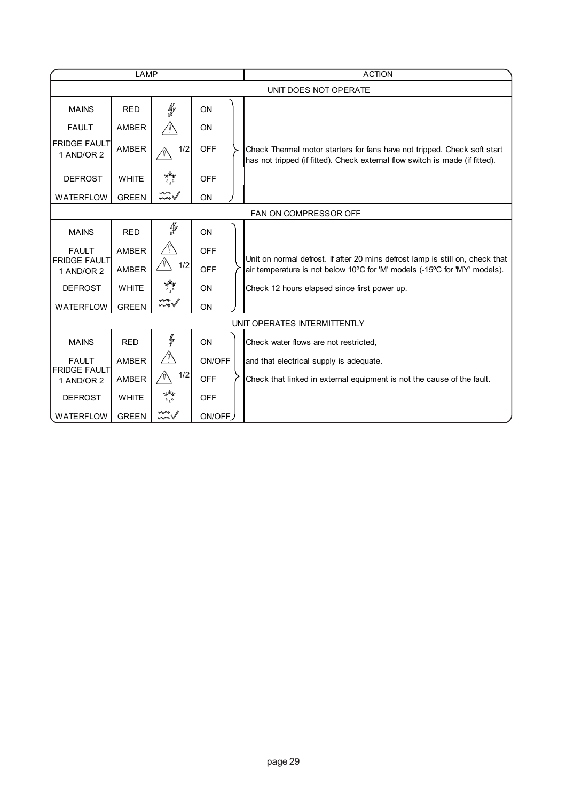| LAMP                                |              |                   |            |  | <b>ACTION</b>                                                                                                                                            |  |  |  |
|-------------------------------------|--------------|-------------------|------------|--|----------------------------------------------------------------------------------------------------------------------------------------------------------|--|--|--|
|                                     |              |                   |            |  | UNIT DOES NOT OPERATE                                                                                                                                    |  |  |  |
| <b>MAINS</b>                        | <b>RED</b>   | ľ                 | ON         |  |                                                                                                                                                          |  |  |  |
| <b>FAULT</b>                        | AMBER        |                   | ON         |  |                                                                                                                                                          |  |  |  |
| <b>FRIDGE FAULT</b><br>1 AND/OR 2   | <b>AMBER</b> | 1/2               | <b>OFF</b> |  | Check Thermal motor starters for fans have not tripped. Check soft start<br>has not tripped (if fitted). Check external flow switch is made (if fitted). |  |  |  |
| <b>DEFROST</b>                      | <b>WHITE</b> |                   | <b>OFF</b> |  |                                                                                                                                                          |  |  |  |
| <b>WATERFLOW</b>                    | <b>GREEN</b> | $\sim\sqrt$       | ON         |  |                                                                                                                                                          |  |  |  |
|                                     |              |                   |            |  | FAN ON COMPRESSOR OFF                                                                                                                                    |  |  |  |
| <b>MAINS</b>                        | <b>RED</b>   | ∯                 | ON         |  |                                                                                                                                                          |  |  |  |
| <b>FAULT</b><br><b>FRIDGE FAULT</b> | AMBER        | $\sqrt{N}$<br>1/2 | <b>OFF</b> |  | Unit on normal defrost. If after 20 mins defrost lamp is still on, check that                                                                            |  |  |  |
| 1 AND/OR 2                          | <b>AMBER</b> |                   | OFF        |  | air temperature is not below 10°C for 'M' models (-15°C for 'MY' models).                                                                                |  |  |  |
| <b>DEFROST</b>                      | <b>WHITE</b> | بهطیر<br>۱۸       | <b>ON</b>  |  | Check 12 hours elapsed since first power up.                                                                                                             |  |  |  |
| <b>WATERFLOW</b>                    | <b>GREEN</b> | wo<br>wo          | ON         |  |                                                                                                                                                          |  |  |  |
|                                     |              |                   |            |  | UNIT OPERATES INTERMITTENTLY                                                                                                                             |  |  |  |
| <b>MAINS</b>                        | <b>RED</b>   | ł                 | ON         |  | Check water flows are not restricted.                                                                                                                    |  |  |  |
| <b>FAULT</b>                        | <b>AMBER</b> | ∕ ņ∖              | ON/OFF     |  | and that electrical supply is adequate.                                                                                                                  |  |  |  |
| <b>FRIDGE FAULT</b><br>1 AND/OR 2   | AMBER        | 1/2<br>$\sqrt{V}$ | <b>OFF</b> |  | Check that linked in external equipment is not the cause of the fault.                                                                                   |  |  |  |
| <b>DEFROST</b>                      | <b>WHITE</b> | بهغو<br>دره       | <b>OFF</b> |  |                                                                                                                                                          |  |  |  |
| <b>WATERFLOW</b>                    | <b>GREEN</b> | $\mathbb{R}^*$    | ON/OFF     |  |                                                                                                                                                          |  |  |  |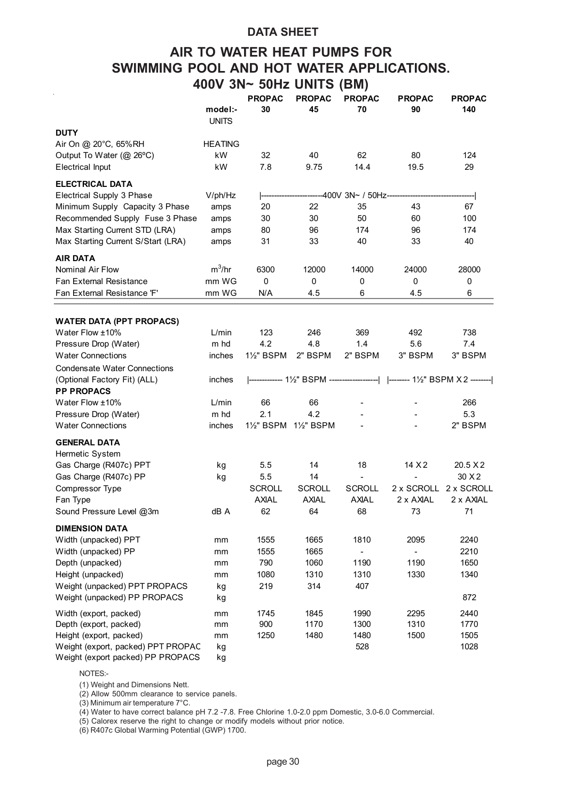### **DATA SHEET**

# **AIR TO WATER HEAT PUMPS FOR SWIMMING POOL AND HOT WATER APPLICATIONS. 400V 3N~ 50Hz UNITS (BM)**

|                                     |                         | <b>PROPAC</b> | <b>PROPAC</b> | <b>PROPAC</b>     | <b>PROPAC</b>                                                           | <b>PROPAC</b> |
|-------------------------------------|-------------------------|---------------|---------------|-------------------|-------------------------------------------------------------------------|---------------|
|                                     | model:-<br><b>UNITS</b> | 30            | 45            | 70                | 90                                                                      | 140           |
| <b>DUTY</b>                         |                         |               |               |                   |                                                                         |               |
| Air On @ 20°C, 65%RH                | <b>HEATING</b>          |               |               |                   |                                                                         |               |
| Output To Water (@ 26°C)            | kW                      | 32            | 40            | 62                | 80                                                                      | 124           |
| <b>Electrical Input</b>             | kW                      | 7.8           | 9.75          | 14.4              | 19.5                                                                    | 29            |
| <b>ELECTRICAL DATA</b>              |                         |               |               |                   |                                                                         |               |
| Electrical Supply 3 Phase           | V/ph/Hz                 |               |               | -400V 3N~ / 50Hz- |                                                                         |               |
| Minimum Supply Capacity 3 Phase     | amps                    | 20            | 22            | 35                | 43                                                                      | 67            |
| Recommended Supply Fuse 3 Phase     | amps                    | 30            | 30            | 50                | 60                                                                      | 100           |
| Max Starting Current STD (LRA)      | amps                    | 80            | 96            | 174               | 96                                                                      | 174           |
| Max Starting Current S/Start (LRA)  | amps                    | 31            | 33            | 40                | 33                                                                      | 40            |
| <b>AIR DATA</b>                     |                         |               |               |                   |                                                                         |               |
| Nominal Air Flow                    | $m^3/hr$                | 6300          | 12000         | 14000             | 24000                                                                   | 28000         |
| <b>Fan External Resistance</b>      | mm WG                   | $\Omega$      | 0             | 0                 | 0                                                                       | 0             |
| Fan External Resistance 'F'         | mm WG                   | N/A           | 4.5           | 6                 | 4.5                                                                     | 6             |
| <b>WATER DATA (PPT PROPACS)</b>     |                         |               |               |                   |                                                                         |               |
| Water Flow ±10%                     | L/min                   | 123           | 246           | 369               | 492                                                                     | 738           |
| Pressure Drop (Water)               | m hd                    | 4.2           | 4.8           | 1.4               | 5.6                                                                     | 7.4           |
| <b>Water Connections</b>            | inches                  | 1½" BSPM      | 2" BSPM       | 2" BSPM           | 3" BSPM                                                                 | 3" BSPM       |
| <b>Condensate Water Connections</b> |                         |               |               |                   |                                                                         |               |
| (Optional Factory Fit) (ALL)        | inches                  |               |               |                   | ------------ 1½" BSPM ------------------   ------- 1½" BSPM X 2 ------- |               |
| <b>PP PROPACS</b>                   |                         |               |               |                   |                                                                         |               |
| Water Flow ±10%                     | L/min                   | 66            | 66            |                   |                                                                         | 266           |
| Pressure Drop (Water)               | m hd                    | 2.1           | 4.2           |                   |                                                                         | 5.3           |
| <b>Water Connections</b>            | inches                  | 1½" BSPM      | 1½" BSPM      |                   |                                                                         | 2" BSPM       |
| <b>GENERAL DATA</b>                 |                         |               |               |                   |                                                                         |               |
| Hermetic System                     |                         |               |               |                   |                                                                         |               |
| Gas Charge (R407c) PPT              | kg                      | 5.5           | 14            | 18                | 14 X 2                                                                  | 20.5 X 2      |
| Gas Charge (R407c) PP               | kg                      | 5.5           | 14            |                   |                                                                         | 30 X 2        |
| Compressor Type                     |                         | <b>SCROLL</b> | <b>SCROLL</b> | <b>SCROLL</b>     | 2 x SCROLL                                                              | 2 x SCROLL    |
| Fan Type                            |                         | <b>AXIAL</b>  | <b>AXIAL</b>  | <b>AXIAL</b>      | 2 x AXAL                                                                | 2 x AXIAL     |
| Sound Pressure Level @3m            | dB A                    | 62            | 64            | 68                | 73                                                                      | 71            |
| <b>DIMENSION DATA</b>               |                         |               |               |                   |                                                                         |               |
| Width (unpacked) PPT                | mm                      | 1555          | 1665          | 1810              | 2095                                                                    | 2240          |
| Width (unpacked) PP                 | mm                      | 1555          | 1665          | $\blacksquare$    | $\overline{a}$                                                          | 2210          |
| Depth (unpacked)                    | mm                      | 790           | 1060          | 1190              | 1190                                                                    | 1650          |
| Height (unpacked)                   | mm                      | 1080          | 1310          | 1310              | 1330                                                                    | 1340          |
| Weight (unpacked) PPT PROPACS       | kg                      | 219           | 314           | 407               |                                                                         |               |
| Weight (unpacked) PP PROPACS        | kg                      |               |               |                   |                                                                         | 872           |
| Width (export, packed)              | mm                      | 1745          | 1845          | 1990              | 2295                                                                    | 2440          |
| Depth (export, packed)              | mm                      | 900           | 1170          | 1300              | 1310                                                                    | 1770          |
| Height (export, packed)             | mm                      | 1250          | 1480          | 1480              | 1500                                                                    | 1505          |
| Weight (export, packed) PPT PROPAC  | kg                      |               |               | 528               |                                                                         | 1028          |
| Weight (export packed) PP PROPACS   | kg                      |               |               |                   |                                                                         |               |

NOTES:-

(1) Weight and Dimensions Nett.

(2) Allow 500mm clearance to service panels.

(3) Minimum air temperature 7°C.

(4) Water to have correct balance pH 7.2 -7.8. Free Chlorine 1.0-2.0 ppm Domestic, 3.0-6.0 Commercial.

(5) Calorex reserve the right to change or modify models without prior notice.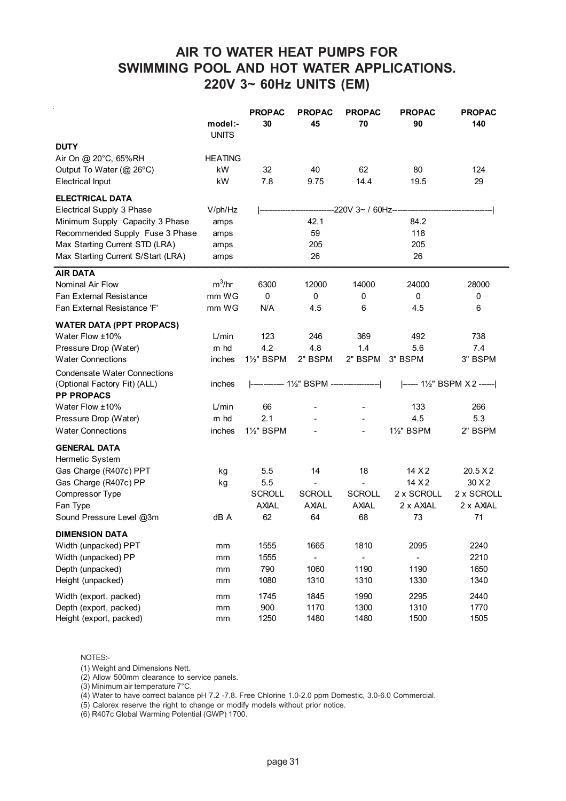# **AIR TO WATER HEAT PUMPS FOR SWIMMING POOL AND HOT WATER APPLICATIONS. 220V 3~ 60Hz UNITS (EM)**

|                                     | model:-<br><b>UNITS</b> | <b>PROPAC</b><br>30 | <b>PROPAC</b><br>45                        | <b>PROPAC</b><br>70 | <b>PROPAC</b><br>90 | <b>PROPAC</b><br>140                                                    |
|-------------------------------------|-------------------------|---------------------|--------------------------------------------|---------------------|---------------------|-------------------------------------------------------------------------|
| <b>DUTY</b>                         |                         |                     |                                            |                     |                     |                                                                         |
| Air On @ 20°C, 65%RH                | <b>HEATING</b>          |                     |                                            |                     |                     |                                                                         |
| Output To Water (@ 26°C)            | kW                      | 32                  | 40                                         | 62                  | 80                  | 124                                                                     |
| <b>Electrical Input</b>             | kW                      | 7.8                 | 9.75                                       | 14.4                | 19.5                | 29                                                                      |
|                                     |                         |                     |                                            |                     |                     |                                                                         |
| <b>ELECTRICAL DATA</b>              |                         |                     |                                            |                     |                     |                                                                         |
| Electrical Supply 3 Phase           | V/ph/Hz                 |                     |                                            | -220V 3~ / 60Hz---  |                     |                                                                         |
| Minimum Supply Capacity 3 Phase     | amps                    |                     | 42.1                                       |                     | 84.2                |                                                                         |
| Recommended Supply Fuse 3 Phase     | amps                    |                     | 59                                         |                     | 118                 |                                                                         |
| Max Starting Current STD (LRA)      | amps                    |                     | 205                                        |                     | 205                 |                                                                         |
| Max Starting Current S/Start (LRA)  | amps                    |                     | 26                                         |                     | 26                  |                                                                         |
| <b>AIR DATA</b>                     |                         |                     |                                            |                     |                     |                                                                         |
| Nominal Air Flow                    | $m^3/hr$                | 6300                | 12000                                      | 14000               | 24000               | 28000                                                                   |
| <b>Fan External Resistance</b>      | mm WG                   | $\mathbf 0$         | 0                                          | 0                   | 0                   | 0                                                                       |
| Fan External Resistance 'F'         | mm WG                   | N/A                 | 4.5                                        | 6                   | 4.5                 | 6                                                                       |
| <b>WATER DATA (PPT PROPACS)</b>     |                         |                     |                                            |                     |                     |                                                                         |
| Water Flow ±10%                     | L/min                   | 123                 | 246                                        | 369                 | 492                 | 738                                                                     |
| Pressure Drop (Water)               | m hd                    | 4.2                 | 4.8                                        | 1.4                 | 5.6                 | 7.4                                                                     |
| <b>Water Connections</b>            | inches                  | 1½" BSPM            | 2" BSPM                                    | 2" BSPM             | 3" BSPM             | 3" BSPM                                                                 |
| <b>Condensate Water Connections</b> |                         |                     |                                            |                     |                     |                                                                         |
| (Optional Factory Fit) (ALL)        | inches                  |                     | ------------- 1½" BSPM ------------------- |                     |                     | $\left  \begin{array}{cc} - - - - 1 \end{array} \right $ BSPM X2 ------ |
| <b>PP PROPACS</b>                   |                         |                     |                                            |                     |                     |                                                                         |
| Water Flow ±10%                     | L/min                   | 66                  |                                            |                     | 133                 | 266                                                                     |
| Pressure Drop (Water)               | m hd                    | 2.1                 |                                            |                     | 4.5                 | 5.3                                                                     |
| <b>Water Connections</b>            | inches                  | 1½" BSPM            |                                            |                     | 1½" BSPM            | 2" BSPM                                                                 |
|                                     |                         |                     |                                            |                     |                     |                                                                         |
| <b>GENERAL DATA</b>                 |                         |                     |                                            |                     |                     |                                                                         |
| Hermetic System                     |                         |                     |                                            |                     |                     |                                                                         |
| Gas Charge (R407c) PPT              | kg                      | 5.5                 | 14                                         | 18                  | 14 X 2              | 20.5 X2                                                                 |
| Gas Charge (R407c) PP               | kg                      | 5.5                 | $\blacksquare$                             | $\blacksquare$      | 14 X 2              | 30 X2                                                                   |
| Compressor Type                     |                         | <b>SCROLL</b>       | <b>SCROLL</b>                              | <b>SCROLL</b>       | 2 x SCROLL          | 2 x SCROLL                                                              |
| Fan Type                            |                         | <b>AXIAL</b>        | <b>AXIAL</b>                               | <b>AXIAL</b>        | 2 x AXIAL           | 2 x AXIAL                                                               |
| Sound Pressure Level @3m            | dB A                    | 62                  | 64                                         | 68                  | 73                  | 71                                                                      |
| <b>DIMENSION DATA</b>               |                         |                     |                                            |                     |                     |                                                                         |
| Width (unpacked) PPT                | mm                      | 1555                | 1665                                       | 1810                | 2095                | 2240                                                                    |
| Width (unpacked) PP                 | mm                      | 1555                |                                            |                     |                     | 2210                                                                    |
| Depth (unpacked)                    | mm                      | 790                 | 1060                                       | 1190                | 1190                | 1650                                                                    |
| Height (unpacked)                   | mm                      | 1080                | 1310                                       | 1310                | 1330                | 1340                                                                    |
| Width (export, packed)              | mm                      | 1745                | 1845                                       | 1990                | 2295                | 2440                                                                    |
| Depth (export, packed)              | mm                      | 900                 | 1170                                       | 1300                | 1310                | 1770                                                                    |
| Height (export, packed)             | mm                      | 1250                | 1480                                       | 1480                | 1500                | 1505                                                                    |

NOTES:-

(1) Weight and Dimensions Nett.

(2) Allow 500mm clearance to service panels.

(3) Minimum air temperature 7°C.

(4) Water to have correct balance pH 7.2 -7.8. Free Chlorine 1.0-2.0 ppm Domestic, 3.0-6.0 Commercial.

(5) Calorex reserve the right to change or modify models without prior notice.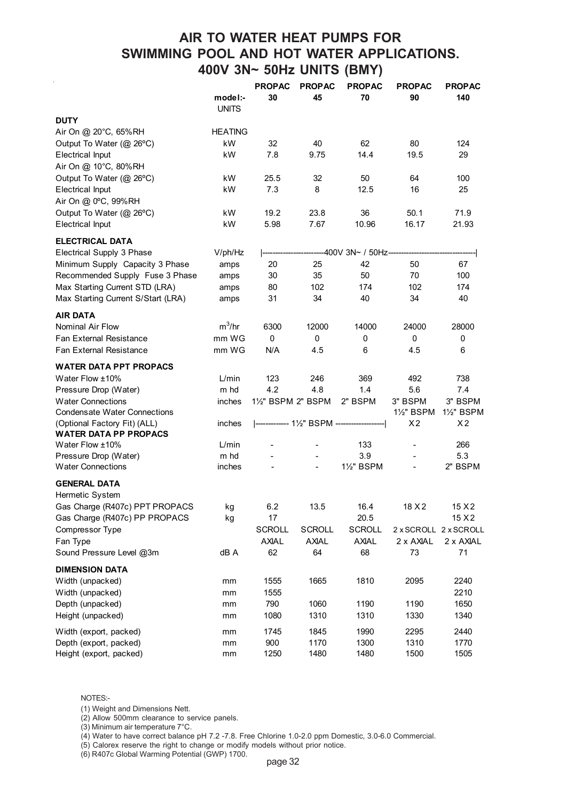# **AIR TO WATER HEAT PUMPS FOR SWIMMING POOL AND HOT WATER APPLICATIONS. 400V 3N~ 50Hz UNITS (BMY)**

|                                                              |                         | <b>PROPAC</b>    | <b>PROPAC</b>                          | <b>PROPAC</b>     | <b>PROPAC</b>            | <b>PROPAC</b>              |
|--------------------------------------------------------------|-------------------------|------------------|----------------------------------------|-------------------|--------------------------|----------------------------|
|                                                              | model:-<br><b>UNITS</b> | 30               | 45                                     | 70                | 90                       | 140                        |
| <b>DUTY</b>                                                  |                         |                  |                                        |                   |                          |                            |
| Air On @ 20°C, 65%RH                                         | <b>HEATING</b>          |                  |                                        |                   |                          |                            |
| Output To Water (@ 26°C)                                     | kW                      | 32               | 40                                     | 62                | 80                       | 124                        |
| <b>Electrical Input</b>                                      | kW                      | 7.8              | 9.75                                   | 14.4              | 19.5                     | 29                         |
| Air On @ 10°C, 80%RH                                         |                         |                  |                                        |                   |                          |                            |
| Output To Water (@ 26°C)                                     | kW                      | 25.5             | 32                                     | 50                | 64                       | 100                        |
| <b>Electrical Input</b>                                      | kW                      | 7.3              | 8                                      | 12.5              | 16                       | 25                         |
| Air On @ 0°C, 99%RH                                          |                         |                  |                                        |                   |                          |                            |
| Output To Water (@ 26°C)                                     | kW                      | 19.2             | 23.8                                   | 36                | 50.1                     | 71.9                       |
| Electrical Input                                             | kW                      | 5.98             | 7.67                                   | 10.96             | 16.17                    | 21.93                      |
| <b>ELECTRICAL DATA</b>                                       |                         |                  |                                        |                   |                          |                            |
| Electrical Supply 3 Phase                                    | V/ph/Hz                 |                  |                                        | -400V 3N~ / 50Hz- |                          |                            |
| Minimum Supply Capacity 3 Phase                              | amps                    | 20               | 25                                     | 42                | 50                       | 67                         |
| Recommended Supply Fuse 3 Phase                              | amps                    | 30               | 35                                     | 50                | 70                       | 100                        |
| Max Starting Current STD (LRA)                               | amps                    | 80               | 102                                    | 174               | 102                      | 174                        |
| Max Starting Current S/Start (LRA)                           | amps                    | 31               | 34                                     | 40                | 34                       | 40                         |
|                                                              |                         |                  |                                        |                   |                          |                            |
| <b>AIR DATA</b><br>Nominal Air Flow                          | $m^3/hr$                | 6300             | 12000                                  | 14000             | 24000                    | 28000                      |
| <b>Fan External Resistance</b>                               | mm WG                   | $\mathbf 0$      | $\mathbf 0$                            | 0                 | $\mathbf 0$              | 0                          |
| <b>Fan External Resistance</b>                               | mm WG                   | N/A              | 4.5                                    | 6                 | 4.5                      | 6                          |
|                                                              |                         |                  |                                        |                   |                          |                            |
| <b>WATER DATA PPT PROPACS</b>                                |                         |                  |                                        |                   |                          |                            |
| Water Flow ±10%                                              | L/min                   | 123              | 246                                    | 369               | 492                      | 738                        |
| Pressure Drop (Water)                                        | m hd                    | 4.2              | 4.8                                    | 1.4               | 5.6                      | 7.4                        |
| <b>Water Connections</b>                                     | inches                  | 1½" BSPM 2" BSPM |                                        | 2" BSPM           | 3" BSPM                  | 3" BSPM                    |
| <b>Condensate Water Connections</b>                          |                         |                  | ------------- 1½" BSPM --------------- |                   | 1½" BSPM                 | 1½" BSPM<br>X <sub>2</sub> |
| (Optional Factory Fit) (ALL)<br><b>WATER DATA PP PROPACS</b> | inches                  |                  |                                        |                   | X <sub>2</sub>           |                            |
| Water Flow ±10%                                              | L/min                   |                  |                                        | 133               |                          | 266                        |
| Pressure Drop (Water)                                        | m hd                    |                  |                                        | 3.9               |                          | 5.3                        |
| <b>Water Connections</b>                                     | inches                  |                  | $\overline{a}$                         | 1½" BSPM          | $\overline{\phantom{a}}$ | 2" BSPM                    |
|                                                              |                         |                  |                                        |                   |                          |                            |
| <b>GENERAL DATA</b><br>Hermetic System                       |                         |                  |                                        |                   |                          |                            |
| Gas Charge (R407c) PPT PROPACS                               | kg                      | 6.2              | 13.5                                   | 16.4              | 18 X 2                   | 15 X 2                     |
| Gas Charge (R407c) PP PROPACS                                | kg                      | 17               |                                        | 20.5              |                          | 15 X 2                     |
| Compressor Type                                              |                         | <b>SCROLL</b>    | <b>SCROLL</b>                          | <b>SCROLL</b>     |                          | 2 x SCROLL 2 x SCROLL      |
| Fan Type                                                     |                         | <b>AXIAL</b>     | <b>AXIAL</b>                           | <b>AXIAL</b>      | 2 x AXIAL                | 2 x AXIAL                  |
| Sound Pressure Level @3m                                     | dB A                    | 62               | 64                                     | 68                | 73                       | 71                         |
|                                                              |                         |                  |                                        |                   |                          |                            |
| <b>DIMENSION DATA</b>                                        |                         |                  |                                        |                   |                          |                            |
| Width (unpacked)                                             | mm                      | 1555             | 1665                                   | 1810              | 2095                     | 2240                       |
| Width (unpacked)                                             | mm                      | 1555             |                                        |                   |                          | 2210                       |
| Depth (unpacked)                                             | mm                      | 790              | 1060                                   | 1190              | 1190                     | 1650                       |
| Height (unpacked)                                            | mm                      | 1080             | 1310                                   | 1310              | 1330                     | 1340                       |
| Width (export, packed)                                       | mm                      | 1745             | 1845                                   | 1990              | 2295                     | 2440                       |
| Depth (export, packed)                                       | mm                      | 900              | 1170                                   | 1300              | 1310                     | 1770                       |
| Height (export, packed)                                      | mm                      | 1250             | 1480                                   | 1480              | 1500                     | 1505                       |

NOTES:-

(1) Weight and Dimensions Nett.

(2) Allow 500mm clearance to service panels.

(3) Minimum air temperature 7°C.

(4) Water to have correct balance pH 7.2 -7.8. Free Chlorine 1.0-2.0 ppm Domestic, 3.0-6.0 Commercial.

(5) Calorex reserve the right to change or modify models without prior notice.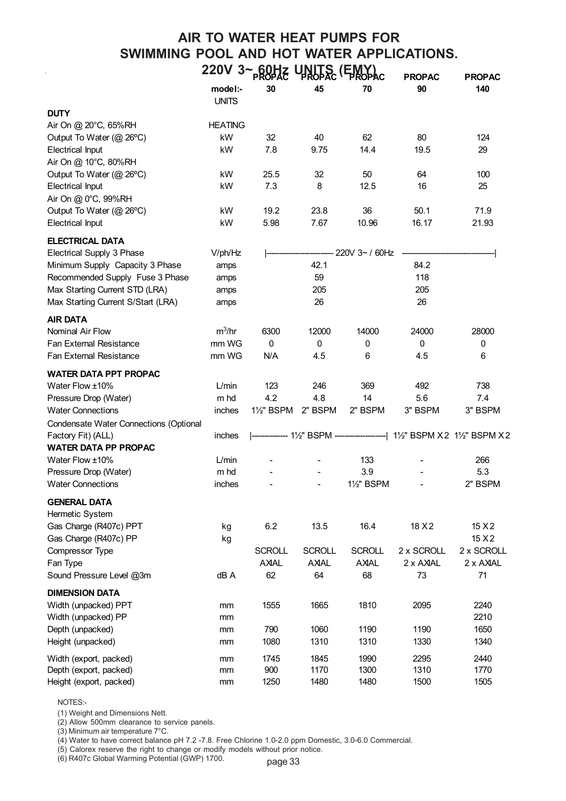# **AIR TO WATER HEAT PUMPS FOR SWIMMING POOL AND HOT WATER APPLICATIONS. 220V 3~ 60Hz UNITS (EMY)**

|                                        |                         | <b>PROPAC</b>           |               | PROPAC FROPAC           | <b>PROPAC</b> | <b>PROPAC</b>                                                      |
|----------------------------------------|-------------------------|-------------------------|---------------|-------------------------|---------------|--------------------------------------------------------------------|
|                                        | model:-<br><b>UNITS</b> | 30                      | 45            | 70                      | 90            | 140                                                                |
| <b>DUTY</b>                            |                         |                         |               |                         |               |                                                                    |
| Air On @ 20°C, 65%RH                   | <b>HEATING</b>          |                         |               |                         |               |                                                                    |
| Output To Water (@ 26°C)               | kW                      | 32                      | 40            | 62                      | 80            | 124                                                                |
| <b>Electrical Input</b>                | kW                      | 7.8                     | 9.75          | 14.4                    | 19.5          | 29                                                                 |
| Air On @ 10°C, 80%RH                   |                         |                         |               |                         |               |                                                                    |
| Output To Water (@ 26°C)               | kW                      | 25.5                    | 32            | 50                      | 64            | 100                                                                |
| <b>Electrical Input</b>                | kW                      | 7.3                     | 8             | 12.5                    | 16            | 25                                                                 |
| Air On @ 0°C, 99%RH                    |                         |                         |               |                         |               |                                                                    |
| Output To Water (@ 26°C)               | kW                      | 19.2                    | 23.8          | 36                      | 50.1          | 71.9                                                               |
| <b>Electrical Input</b>                | kW                      | 5.98                    | 7.67          | 10.96                   | 16.17         | 21.93                                                              |
| <b>ELECTRICAL DATA</b>                 |                         |                         |               |                         |               |                                                                    |
| Electrical Supply 3 Phase              | V/ph/Hz                 |                         |               | 220V 3~ / 60Hz          |               |                                                                    |
| Minimum Supply Capacity 3 Phase        | amps                    |                         | 42.1          |                         | 84.2          |                                                                    |
| Recommended Supply Fuse 3 Phase        | amps                    |                         | 59            |                         | 118           |                                                                    |
| Max Starting Current STD (LRA)         | amps                    |                         | 205           |                         | 205           |                                                                    |
| Max Starting Current S/Start (LRA)     | amps                    |                         | 26            |                         | 26            |                                                                    |
| <b>AIR DATA</b>                        |                         |                         |               |                         |               |                                                                    |
| Nominal Air Flow                       | $m^3/hr$                | 6300                    | 12000         | 14000                   | 24000         | 28000                                                              |
| Fan External Resistance                | mm WG                   | 0                       | 0             | 0                       | 0             | 0                                                                  |
| <b>Fan External Resistance</b>         | mm WG                   | N/A                     | 4.5           | 6                       | 4.5           | 6                                                                  |
| <b>WATER DATA PPT PROPAC</b>           |                         |                         |               |                         |               |                                                                    |
| Water Flow ±10%                        | L/min                   | 123                     | 246           | 369                     | 492           | 738                                                                |
| Pressure Drop (Water)                  | m hd                    | 4.2                     | 4.8           | 14                      | 5.6           | 7.4                                                                |
| <b>Water Connections</b>               | inches                  | 11/ <sub>2</sub> " BSPM | 2" BSPM       | 2" BSPM                 | 3" BSPM       | 3" BSPM                                                            |
| Condensate Water Connections (Optional |                         |                         |               |                         |               |                                                                    |
| Factory Fit) (ALL)                     | inches                  |                         |               |                         |               | ------------ 1½" BSPM -------------------  1½" BSPM X2 1½" BSPM X2 |
| <b>WATER DATA PP PROPAC</b>            |                         |                         |               |                         |               |                                                                    |
| Water Flow ±10%                        | L/min                   |                         |               | 133                     |               | 266                                                                |
| Pressure Drop (Water)                  | m hd                    |                         |               | 3.9                     |               | 5.3                                                                |
| <b>Water Connections</b>               | inches                  |                         |               | 11/ <sub>2</sub> " BSPM |               | 2" BSPM                                                            |
| <b>GENERAL DATA</b>                    |                         |                         |               |                         |               |                                                                    |
| Hermetic System                        |                         |                         |               |                         |               |                                                                    |
| Gas Charge (R407c) PPT                 | kg                      | 6.2                     | 13.5          | 16.4                    | 18 X 2        | 15 X 2                                                             |
| Gas Charge (R407c) PP                  | kg                      |                         |               |                         |               | 15 X 2                                                             |
| Compressor Type                        |                         | <b>SCROLL</b>           | <b>SCROLL</b> | <b>SCROLL</b>           | 2 x SCROLL    | 2 x SCROLL                                                         |
| Fan Type                               |                         | <b>AXAL</b>             | <b>AXAL</b>   | <b>AXAL</b>             | 2 x AXAL      | 2 x AXAL                                                           |
| Sound Pressure Level @3m               | dB A                    | 62                      | 64            | 68                      | 73            | 71                                                                 |
| <b>DIMENSION DATA</b>                  |                         |                         |               |                         |               |                                                                    |
| Width (unpacked) PPT                   | mm                      | 1555                    | 1665          | 1810                    | 2095          | 2240                                                               |
| Width (unpacked) PP                    | mm                      |                         |               |                         |               | 2210                                                               |
| Depth (unpacked)                       | mm                      | 790                     | 1060          | 1190                    | 1190          | 1650                                                               |
| Height (unpacked)                      | mm                      | 1080                    | 1310          | 1310                    | 1330          | 1340                                                               |
| Width (export, packed)                 | mm                      | 1745                    | 1845          | 1990                    | 2295          | 2440                                                               |
| Depth (export, packed)                 | mm                      | 900                     | 1170          | 1300                    | 1310          | 1770                                                               |
| Height (export, packed)                | mm                      | 1250                    | 1480          | 1480                    | 1500          | 1505                                                               |

NOTES:-

(1) Weight and Dimensions Nett.

(2) Allow 500mm clearance to service panels.

(3) Minimum air temperature 7°C.

(4) Water to have correct balance pH 7.2 -7.8. Free Chlorine 1.0-2.0 ppm Domestic, 3.0-6.0 Commercial.

(5) Calorex reserve the right to change or modify models without prior notice.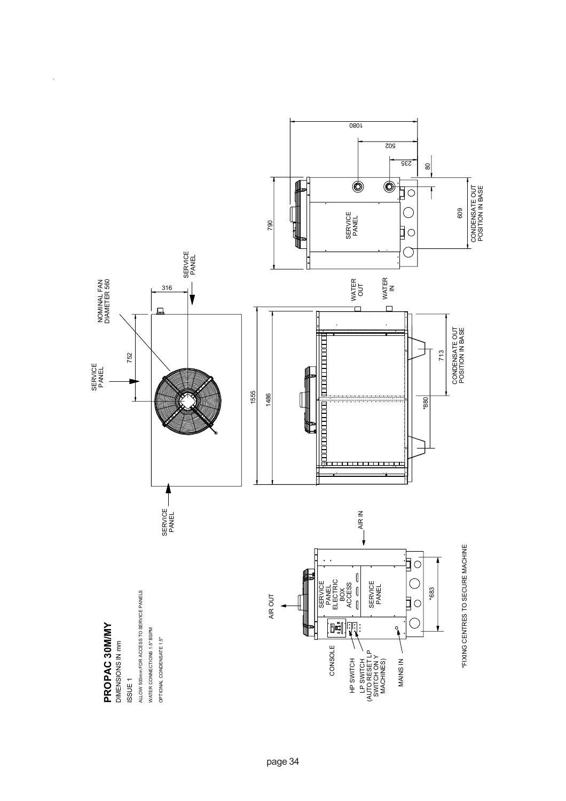

l,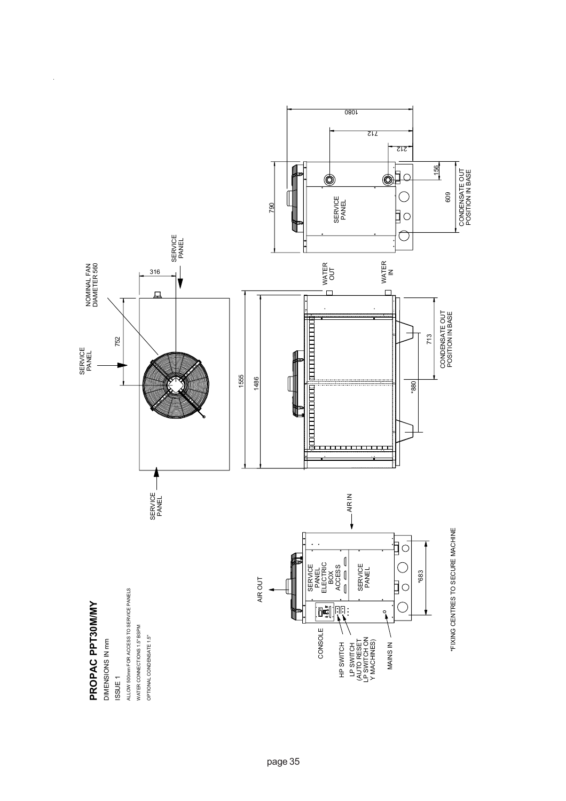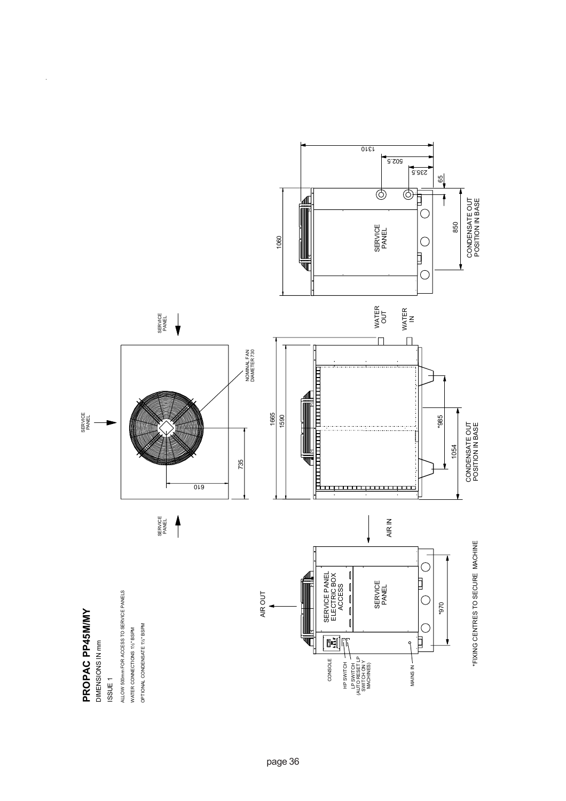

 $\bar{\bar{z}}$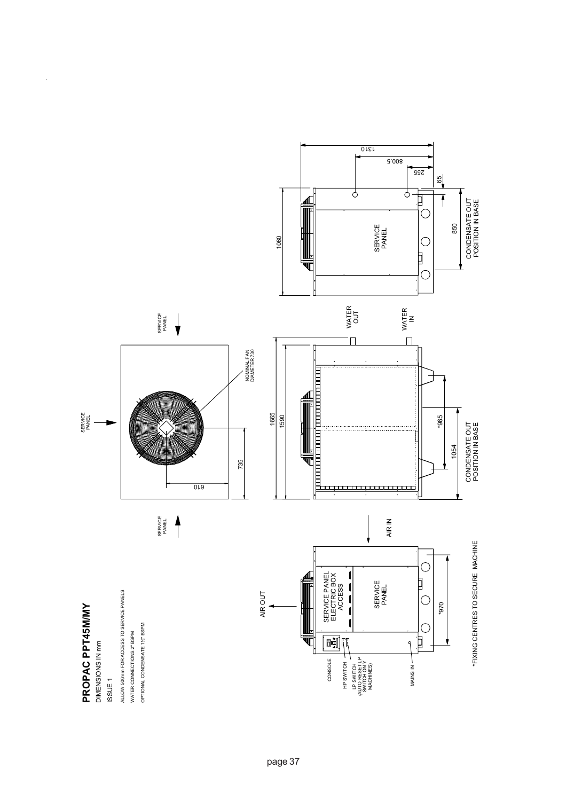

 $\overline{\phantom{a}}$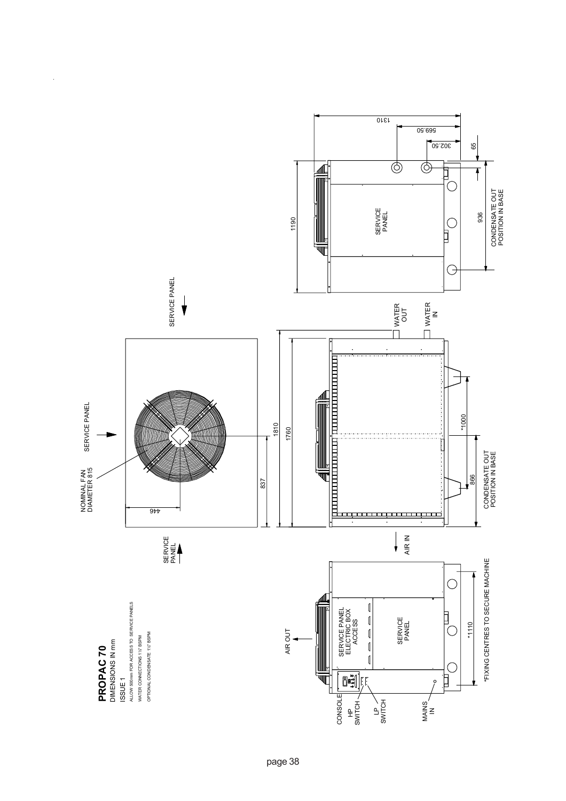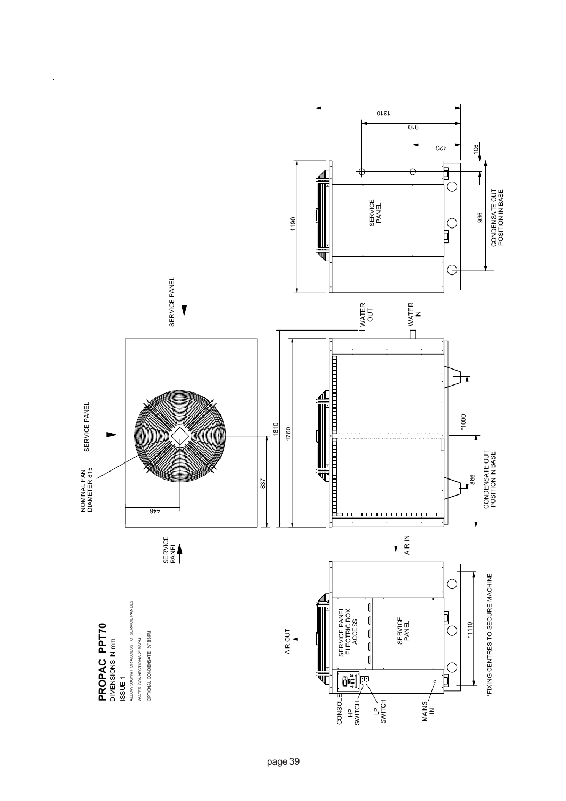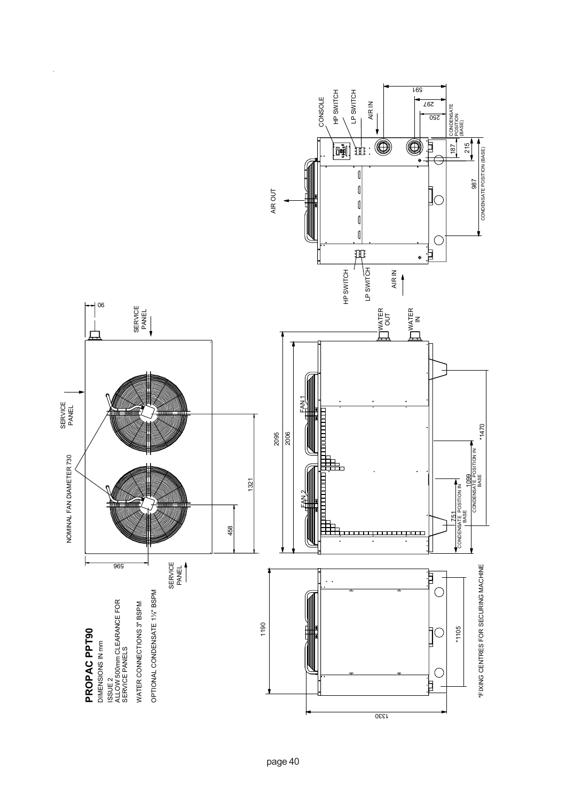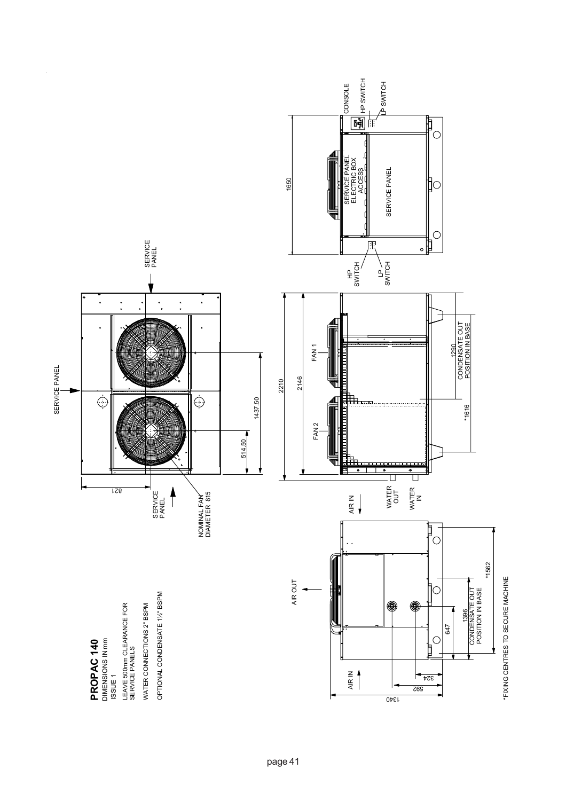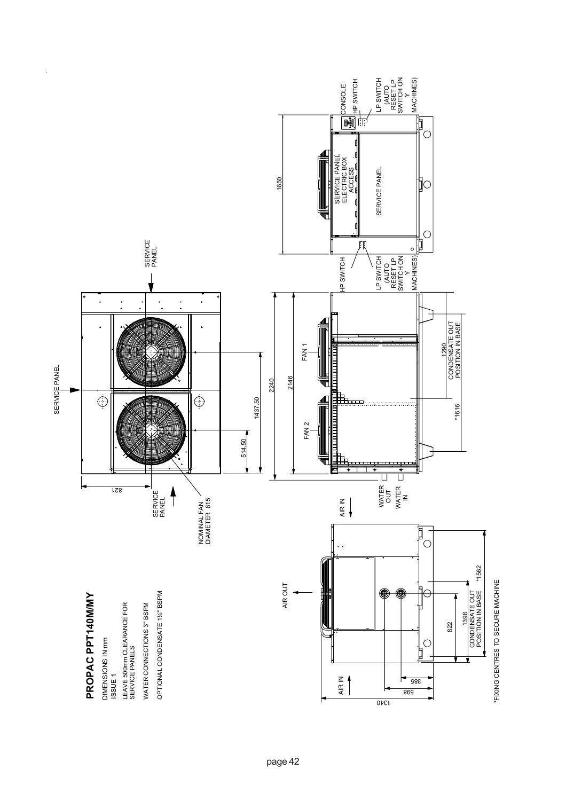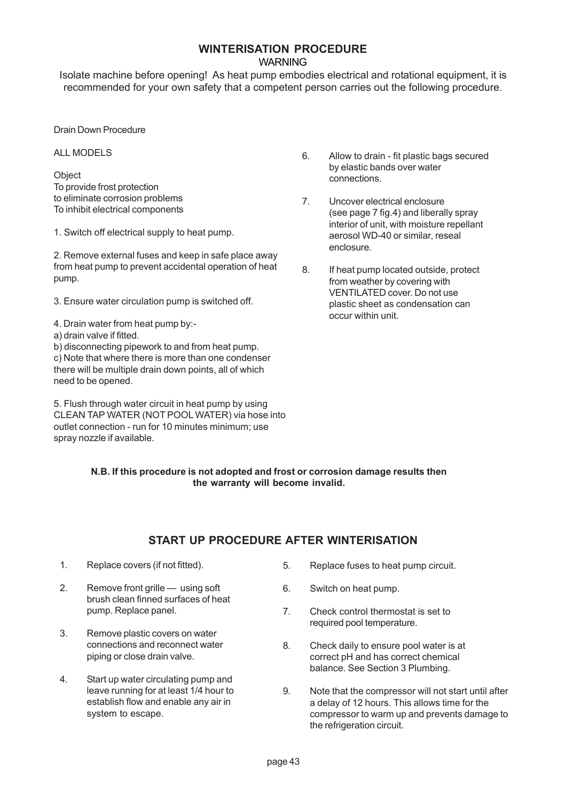# **WINTERISATION PROCEDURE**

**WARNING** 

Isolate machine before opening! As heat pump embodies electrical and rotational equipment, it is recommended for your own safety that a competent person carries out the following procedure.

Drain Down Procedure

ALL MODELS

**Object** To provide frost protection to eliminate corrosion problems To inhibit electrical components

1. Switch off electrical supply to heat pump.

2. Remove external fuses and keep in safe place away from heat pump to prevent accidental operation of heat pump.

3. Ensure water circulation pump is switched off.

- 4. Drain water from heat pump by:-
- a) drain valve if fitted.

b) disconnecting pipework to and from heat pump. c) Note that where there is more than one condenser there will be multiple drain down points, all of which need to be opened.

5. Flush through water circuit in heat pump by using CLEAN TAP WATER (NOT POOL WATER) via hose into outlet connection - run for 10 minutes minimum; use spray nozzle if available.

- 6. Allow to drain fit plastic bags secured by elastic bands over water connections.
- 7. Uncover electrical enclosure (see page 7 fig.4) and liberally spray interior of unit, with moisture repellant aerosol WD-40 or similar, reseal enclosure.
- 8. If heat pump located outside, protect from weather by covering with VENTILATED cover. Do not use plastic sheet as condensation can occur within unit.

#### **N.B. If this procedure is not adopted and frost or corrosion damage results then the warranty will become invalid.**

## **START UP PROCEDURE AFTER WINTERISATION**

- 1. Replace covers (if not fitted).
- 2. Remove front grille using soft brush clean finned surfaces of heat pump. Replace panel.
- 3. Remove plastic covers on water connections and reconnect water piping or close drain valve.
- 4. Start up water circulating pump and leave running for at least 1/4 hour to establish flow and enable any air in system to escape.
- 5. Replace fuses to heat pump circuit.
- 6. Switch on heat pump.
- 7. Check control thermostat is set to required pool temperature.
- 8. Check daily to ensure pool water is at correct pH and has correct chemical balance. See Section 3 Plumbing.
- 9. Note that the compressor will not start until after a delay of 12 hours. This allows time for the compressor to warm up and prevents damage to the refrigeration circuit.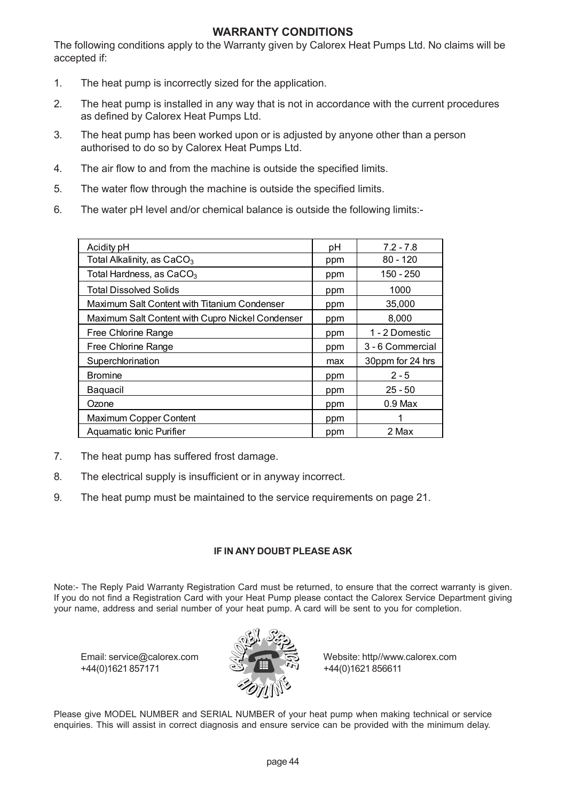## **WARRANTY CONDITIONS**

The following conditions apply to the Warranty given by Calorex Heat Pumps Ltd. No claims will be accepted if:

- 1. The heat pump is incorrectly sized for the application.
- 2. The heat pump is installed in any way that is not in accordance with the current procedures as defined by Calorex Heat Pumps Ltd.
- 3. The heat pump has been worked upon or is adjusted by anyone other than a person authorised to do so by Calorex Heat Pumps Ltd.
- 4. The air flow to and from the machine is outside the specified limits.
- 5. The water flow through the machine is outside the specified limits.
- 6. The water pH level and/or chemical balance is outside the following limits:-

| Acidity pH                                       | рH  | $7.2 - 7.8$      |
|--------------------------------------------------|-----|------------------|
| Total Alkalinity, as CaCO <sub>3</sub>           | ppm | $80 - 120$       |
| Total Hardness, as $CaCO3$                       | ppm | $150 - 250$      |
| <b>Total Dissolved Solids</b>                    | ppm | 1000             |
| Maximum Salt Content with Titanium Condenser     | ppm | 35,000           |
| Maximum Salt Content with Cupro Nickel Condenser | ppm | 8,000            |
| Free Chlorine Range                              | ppm | 1 - 2 Domestic   |
| Free Chlorine Range                              | ppm | 3 - 6 Commercial |
| Superchlorination                                | max | 30ppm for 24 hrs |
| <b>Bromine</b>                                   | ppm | $2 - 5$          |
| <b>Baquacil</b>                                  | ppm | $25 - 50$        |
| Ozone                                            | ppm | $0.9$ Max        |
| Maximum Copper Content                           | ppm |                  |
| Aquamatic Ionic Purifier                         | ppm | 2 Max            |

- 7. The heat pump has suffered frost damage.
- 8. The electrical supply is insufficient or in anyway incorrect.
- 9. The heat pump must be maintained to the service requirements on page 21.

#### **IF IN ANY DOUBT PLEASE ASK**

Note:- The Reply Paid Warranty Registration Card must be returned, to ensure that the correct warranty is given. If you do not find a Registration Card with your Heat Pump please contact the Calorex Service Department giving your name, address and serial number of your heat pump. A card will be sent to you for completion.

 $+44(0)1621857171$   $+44(0)1621856611$ 



Email: service@calorex.com Website: http//www.calorex.com

Please give MODEL NUMBER and SERIAL NUMBER of your heat pump when making technical or service enquiries. This will assist in correct diagnosis and ensure service can be provided with the minimum delay.